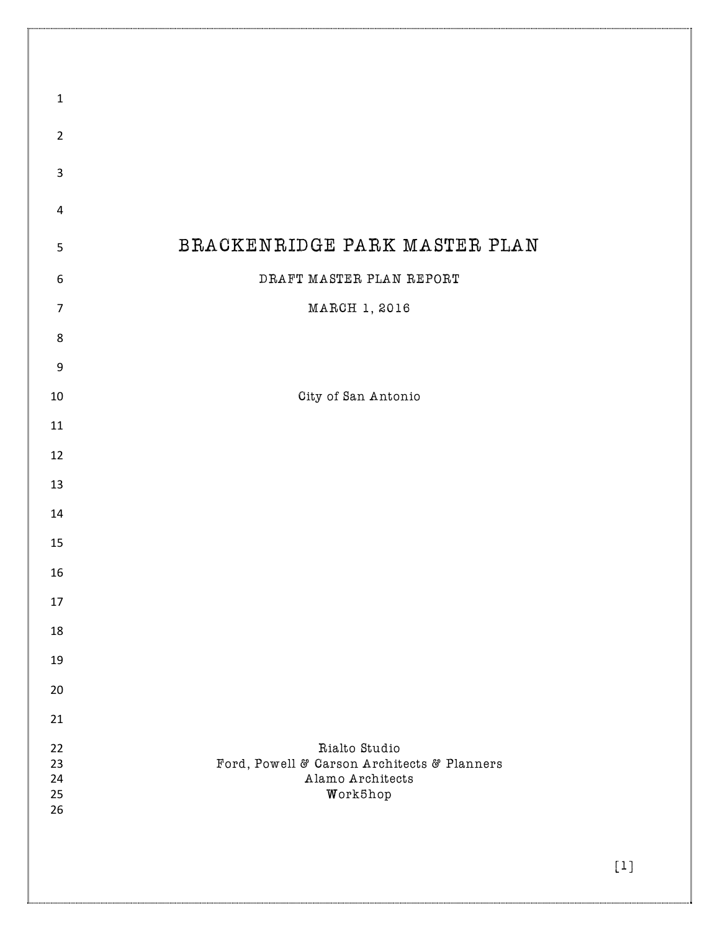| $\mathbf 1$                    |                                                                                              |
|--------------------------------|----------------------------------------------------------------------------------------------|
| $\overline{2}$                 |                                                                                              |
| $\mathsf 3$                    |                                                                                              |
| $\sqrt{4}$                     |                                                                                              |
| $\mathsf S$                    | BRACKENRIDGE PARK MASTER PLAN                                                                |
| $\boldsymbol{6}$               | DRAFT MASTER PLAN REPORT                                                                     |
| $\overline{7}$                 | MARCH 1, 2016                                                                                |
|                                |                                                                                              |
| $\,8$                          |                                                                                              |
| $\boldsymbol{9}$               |                                                                                              |
| 10                             | City of San Antonio                                                                          |
| $11\,$                         |                                                                                              |
| 12                             |                                                                                              |
| 13                             |                                                                                              |
| 14                             |                                                                                              |
| 15                             |                                                                                              |
| 16                             |                                                                                              |
| 17                             |                                                                                              |
| 18                             |                                                                                              |
| 19                             |                                                                                              |
| 20                             |                                                                                              |
| 21                             |                                                                                              |
| $22\,$<br>23<br>24<br>25<br>26 | Rialto Studio<br>Ford, Powell & Carson Architects & Planners<br>Alamo Architects<br>Work5hop |
|                                | $[1]$                                                                                        |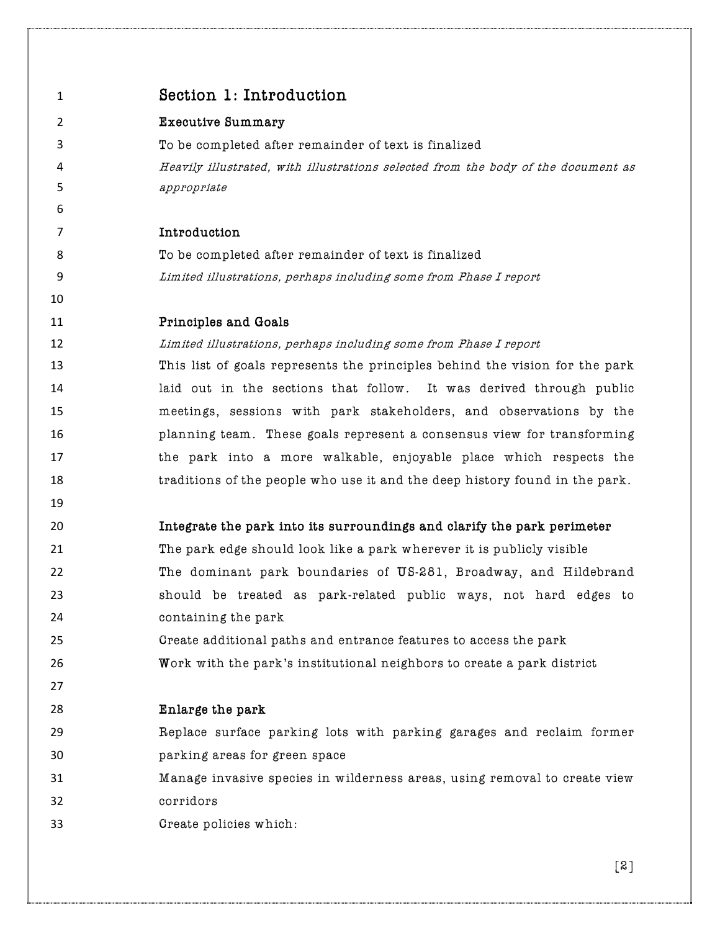| $\mathbf{1}$   | Section 1: Introduction                                                           |
|----------------|-----------------------------------------------------------------------------------|
| $\overline{2}$ | <b>Executive Summary</b>                                                          |
| 3              | To be completed after remainder of text is finalized                              |
| 4              | Heavily illustrated, with illustrations selected from the body of the document as |
| 5              | appropriate                                                                       |
| 6              |                                                                                   |
| $\overline{7}$ | Introduction                                                                      |
| 8              | To be completed after remainder of text is finalized                              |
| 9              | Limited illustrations, perhaps including some from Phase I report                 |
| 10             |                                                                                   |
| 11             | Principles and Goals                                                              |
| 12             | Limited illustrations, perhaps including some from Phase I report                 |
| 13             | This list of goals represents the principles behind the vision for the park       |
| 14             | laid out in the sections that follow. It was derived through public               |
| 15             | meetings, sessions with park stakeholders, and observations by the                |
| 16             | planning team. These goals represent a consensus view for transforming            |
| 17             | the park into a more walkable, enjoyable place which respects the                 |
| 18             | traditions of the people who use it and the deep history found in the park.       |
| 19             |                                                                                   |
| 20             | Integrate the park into its surroundings and clarify the park perimeter           |
| 21             | The park edge should look like a park wherever it is publicly visible             |
| 22             | The dominant park boundaries of US-281, Broadway, and Hildebrand                  |
| 23             | should be treated as park-related public ways, not hard edges to                  |
| 24             | containing the park                                                               |
| 25             | Create additional paths and entrance features to access the park                  |
| 26             | Work with the park's institutional neighbors to create a park district            |
| 27             |                                                                                   |
| 28             | Enlarge the park                                                                  |
| 29             | Replace surface parking lots with parking garages and reclaim former              |
| 30             | parking areas for green space                                                     |
| 31             | Manage invasive species in wilderness areas, using removal to create view         |
| 32             | corridors                                                                         |
| 33             | Create policies which:                                                            |
|                |                                                                                   |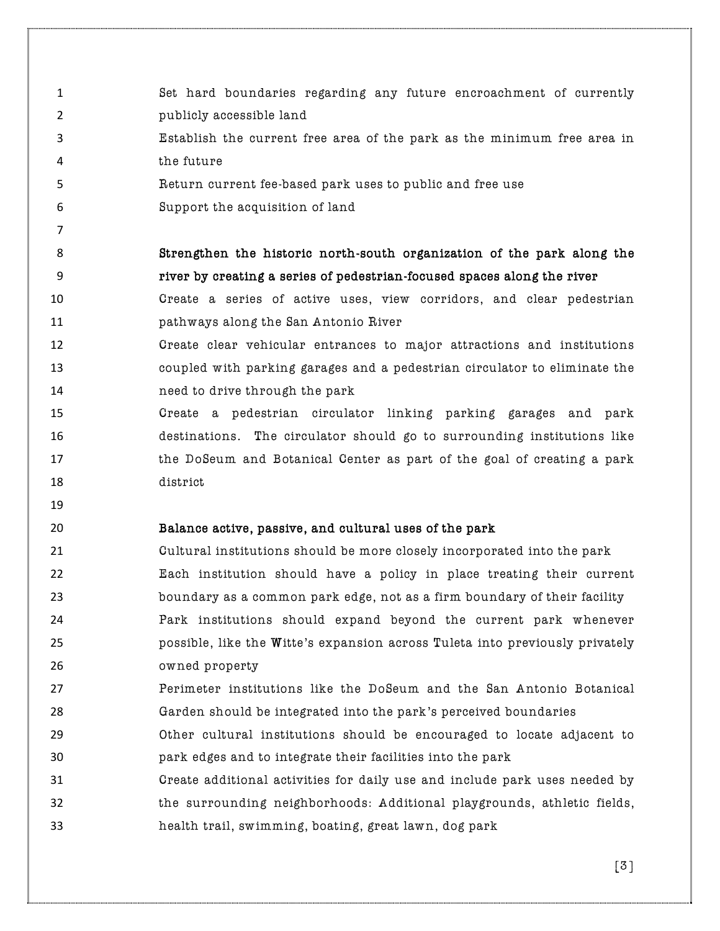- Set hard boundaries regarding any future encroachment of currently 2 publicly accessible land
- Establish the current free area of the park as the minimum free area in the future
- Return current fee-based park uses to public and free use
- Support the acquisition of land
- 

# Strengthen the historic north-south organization of the park along the river by creating a series of pedestrian-focused spaces along the river

- Create a series of active uses, view corridors, and clear pedestrian pathways along the San Antonio River
- Create clear vehicular entrances to major attractions and institutions coupled with parking garages and a pedestrian circulator to eliminate the need to drive through the park
- Create a pedestrian circulator linking parking garages and park destinations. The circulator should go to surrounding institutions like the DoSeum and Botanical Center as part of the goal of creating a park district
- 

# Balance active, passive, and cultural uses of the park

- Cultural institutions should be more closely incorporated into the park Each institution should have a policy in place treating their current boundary as a common park edge, not as a firm boundary of their facility Park institutions should expand beyond the current park whenever possible, like the Witte's expansion across Tuleta into previously privately owned property
- Perimeter institutions like the DoSeum and the San Antonio Botanical Garden should be integrated into the park's perceived boundaries
- Other cultural institutions should be encouraged to locate adjacent to park edges and to integrate their facilities into the park
- Create additional activities for daily use and include park uses needed by the surrounding neighborhoods: Additional playgrounds, athletic fields, health trail, swimming, boating, great lawn, dog park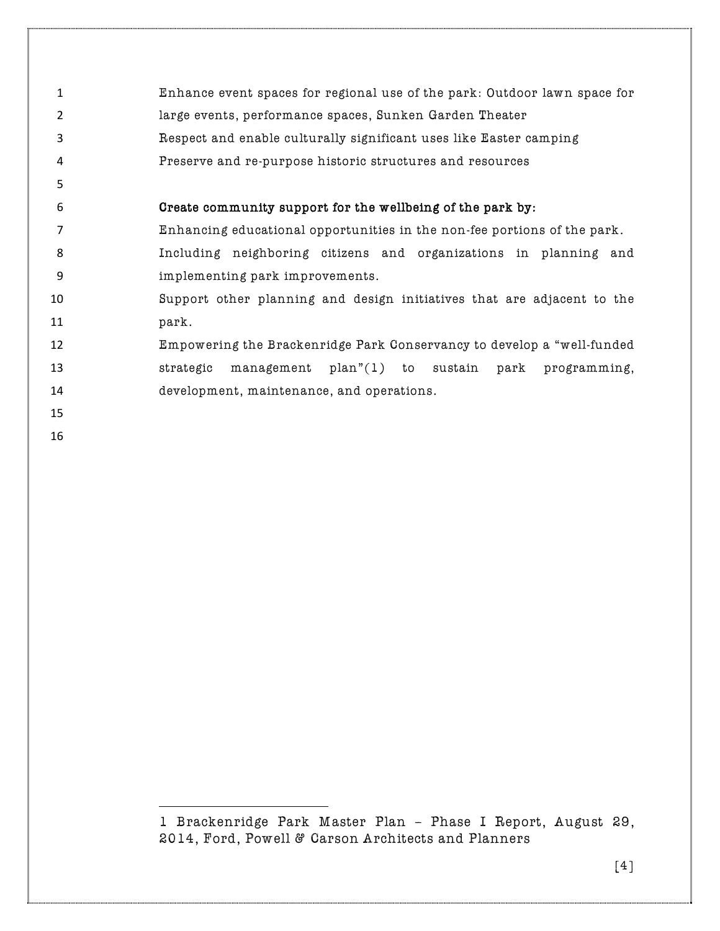| 1              | Enhance event spaces for regional use of the park: Outdoor lawn space for |
|----------------|---------------------------------------------------------------------------|
| 2              | large events, performance spaces, Sunken Garden Theater                   |
| 3              | Respect and enable culturally significant uses like Easter camping        |
| 4              | Preserve and re-purpose historic structures and resources                 |
| 5              |                                                                           |
| 6              | Create community support for the wellbeing of the park by:                |
| $\overline{7}$ | Enhancing educational opportunities in the non-fee portions of the park.  |
| 8              | Including neighboring citizens and organizations in planning and          |
| 9              | implementing park improvements.                                           |
| 10             | Support other planning and design initiatives that are adjacent to the    |
| 11             | park.                                                                     |
| 12             | Empowering the Brackenridge Park Conservancy to develop a "well-funded    |
| 13             | management plan"(1) to sustain park programming,<br>strategic             |
| 14             | development, maintenance, and operations.                                 |
| 15             |                                                                           |
| 16             |                                                                           |
|                |                                                                           |

<sup>1</sup> Brackenridge Park Master Plan – Phase I Report, August 29, 2014, Ford, Powell & Carson Architects and Planners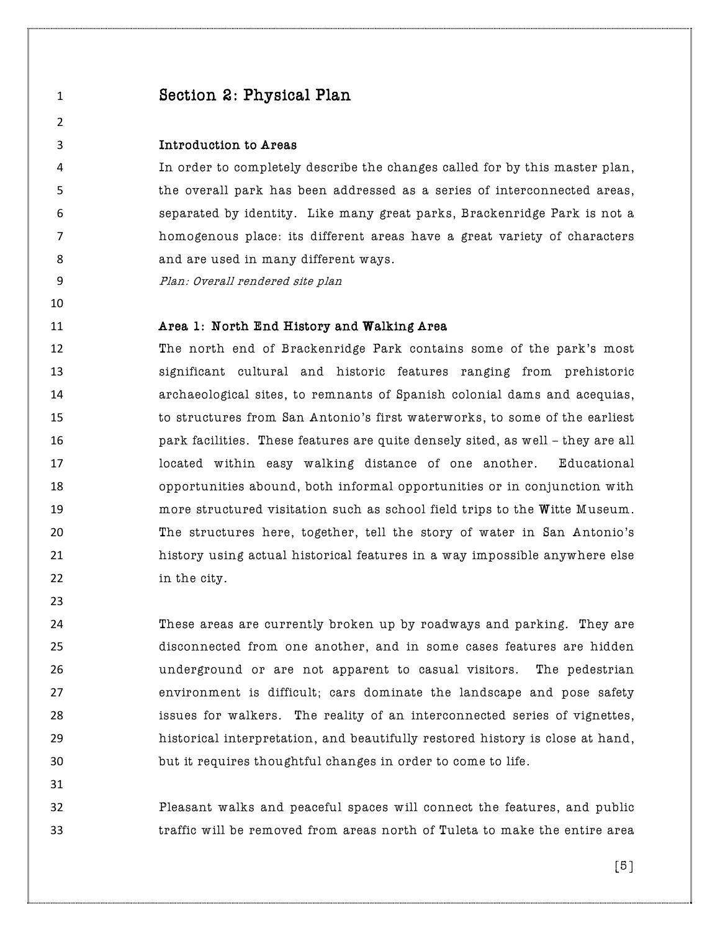# Section 2: Physical Plan

## Introduction to Areas

 In order to completely describe the changes called for by this master plan, the overall park has been addressed as a series of interconnected areas, separated by identity. Like many great parks, Brackenridge Park is not a homogenous place: its different areas have a great variety of characters 8 and are used in many different ways.

Plan: Overall rendered site plan

## **Area 1: North End History and Walking Area**

 The north end of Brackenridge Park contains some of the park's most significant cultural and historic features ranging from prehistoric archaeological sites, to remnants of Spanish colonial dams and acequias, to structures from San Antonio's first waterworks, to some of the earliest park facilities. These features are quite densely sited, as well – they are all located within easy walking distance of one another. Educational opportunities abound, both informal opportunities or in conjunction with more structured visitation such as school field trips to the Witte Museum. The structures here, together, tell the story of water in San Antonio's history using actual historical features in a way impossible anywhere else 22 in the city.

 These areas are currently broken up by roadways and parking. They are disconnected from one another, and in some cases features are hidden underground or are not apparent to casual visitors. The pedestrian environment is difficult; cars dominate the landscape and pose safety issues for walkers. The reality of an interconnected series of vignettes, historical interpretation, and beautifully restored history is close at hand, but it requires thoughtful changes in order to come to life.

 Pleasant walks and peaceful spaces will connect the features, and public traffic will be removed from areas north of Tuleta to make the entire area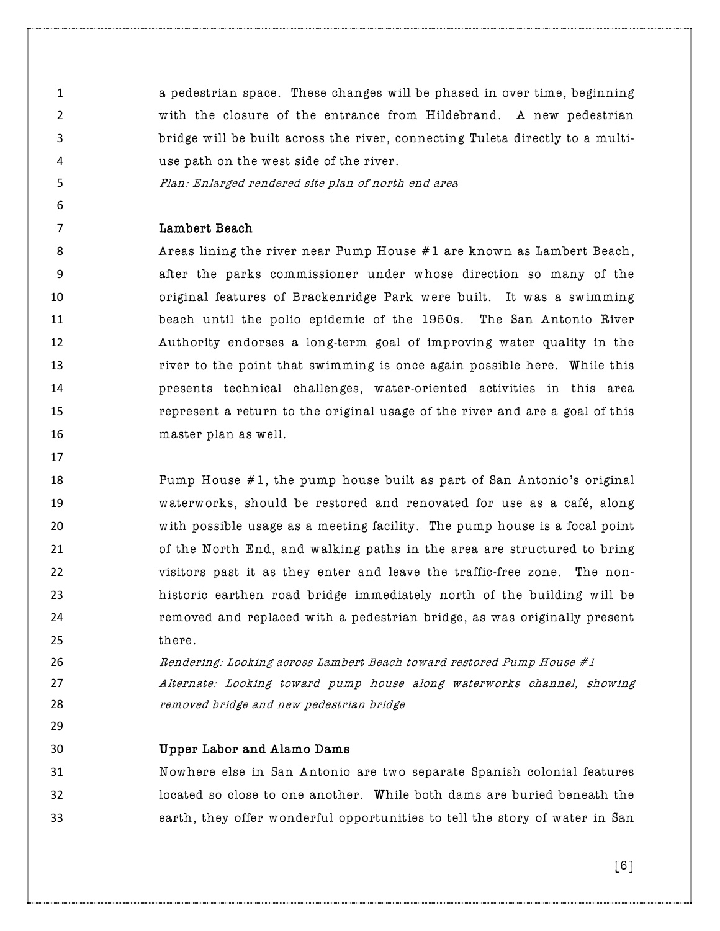a pedestrian space. These changes will be phased in over time, beginning with the closure of the entrance from Hildebrand. A new pedestrian bridge will be built across the river, connecting Tuleta directly to a multi-use path on the west side of the river.

Plan: Enlarged rendered site plan of north end area

#### Lambert Beach

**Areas lining the river near Pump House #1 are known as Lambert Beach,**  after the parks commissioner under whose direction so many of the original features of Brackenridge Park were built. It was a swimming beach until the polio epidemic of the 1950s. The San Antonio River Authority endorses a long-term goal of improving water quality in the **13 river to the point that swimming is once again possible here. While this**  presents technical challenges, water-oriented activities in this area represent a return to the original usage of the river and are a goal of this master plan as well.

 Pump House #1, the pump house built as part of San Antonio's original waterworks, should be restored and renovated for use as a café, along with possible usage as a meeting facility. The pump house is a focal point of the North End, and walking paths in the area are structured to bring visitors past it as they enter and leave the traffic-free zone. The non- historic earthen road bridge immediately north of the building will be removed and replaced with a pedestrian bridge, as was originally present 25 there.

**Rendering: Looking across Lambert Beach toward restored Pump House #1**  Alternate: Looking toward pump house along waterworks channel, showing removed bridge and new pedestrian bridge

Upper Labor and Alamo Dams

 Nowhere else in San Antonio are two separate Spanish colonial features located so close to one another. While both dams are buried beneath the earth, they offer wonderful opportunities to tell the story of water in San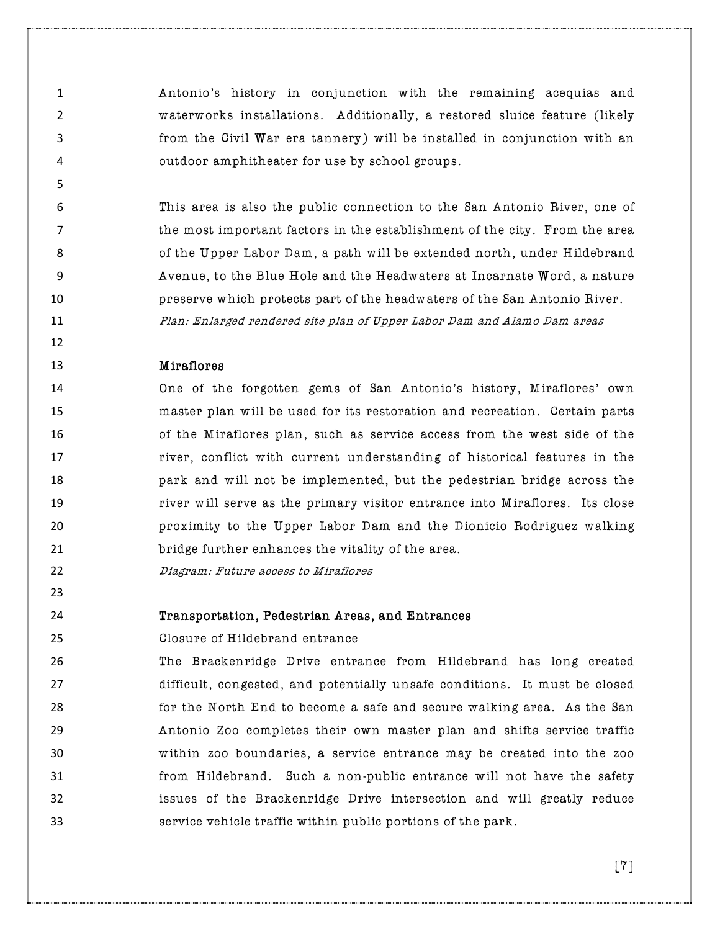Antonio's history in conjunction with the remaining acequias and waterworks installations. Additionally, a restored sluice feature (likely from the Civil War era tannery) will be installed in conjunction with an outdoor amphitheater for use by school groups.

 This area is also the public connection to the San Antonio River, one of the most important factors in the establishment of the city. From the area 8 68 6 of the Upper Labor Dam, a path will be extended north, under Hildebrand Avenue, to the Blue Hole and the Headwaters at Incarnate Word, a nature preserve which protects part of the headwaters of the San Antonio River. Plan: Enlarged rendered site plan of Upper Labor Dam and Alamo Dam areas

## Miraflores

 One of the forgotten gems of San Antonio's history, Miraflores' own master plan will be used for its restoration and recreation. Certain parts of the Miraflores plan, such as service access from the west side of the river, conflict with current understanding of historical features in the park and will not be implemented, but the pedestrian bridge across the river will serve as the primary visitor entrance into Miraflores. Its close proximity to the Upper Labor Dam and the Dionicio Rodriguez walking bridge further enhances the vitality of the area.

Diagram: Future access to Miraflores

#### Transportation, Pedestrian Areas, and Entrances

Closure of Hildebrand entrance

 The Brackenridge Drive entrance from Hildebrand has long created difficult, congested, and potentially unsafe conditions. It must be closed for the North End to become a safe and secure walking area. As the San Antonio Zoo completes their own master plan and shifts service traffic within zoo boundaries, a service entrance may be created into the zoo from Hildebrand. Such a non-public entrance will not have the safety issues of the Brackenridge Drive intersection and will greatly reduce service vehicle traffic within public portions of the park.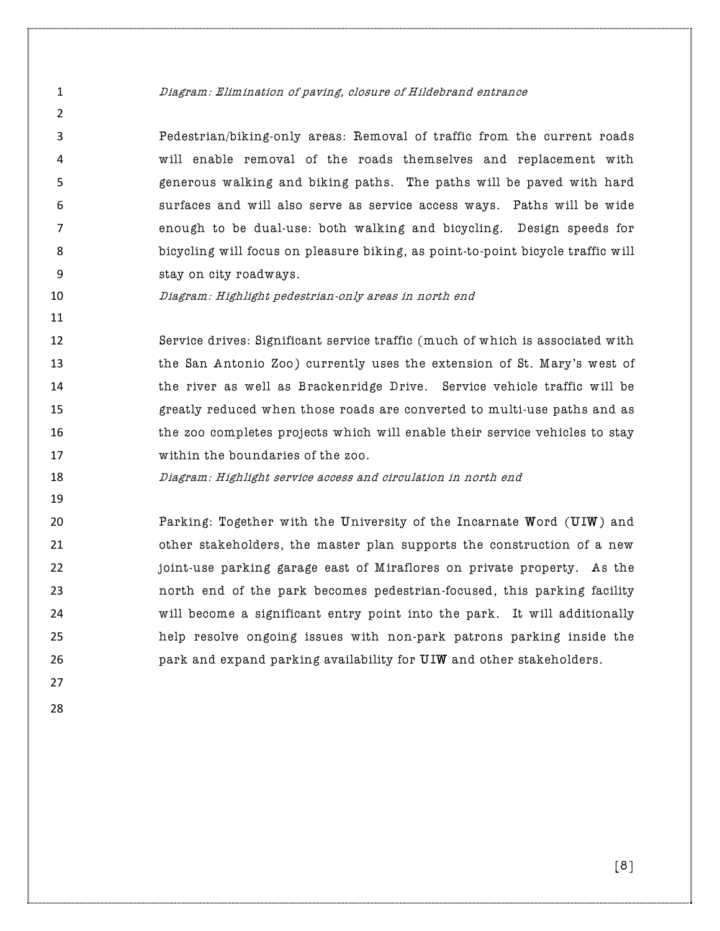#### Diagram: Elimination of paving, closure of Hildebrand entrance

 Pedestrian/biking-only areas: Removal of traffic from the current roads will enable removal of the roads themselves and replacement with generous walking and biking paths. The paths will be paved with hard surfaces and will also serve as service access ways. Paths will be wide enough to be dual-use: both walking and bicycling. Design speeds for bicycling will focus on pleasure biking, as point-to-point bicycle traffic will stay on city roadways.

Diagram: Highlight pedestrian-only areas in north end

 Service drives: Significant service traffic (much of which is associated with the San Antonio Zoo) currently uses the extension of St. Mary's west of the river as well as Brackenridge Drive. Service vehicle traffic will be greatly reduced when those roads are converted to multi-use paths and as the zoo completes projects which will enable their service vehicles to stay within the boundaries of the zoo.

Diagram: Highlight service access and circulation in north end

 Parking: Together with the University of the Incarnate Word (UIW) and other stakeholders, the master plan supports the construction of a new joint-use parking garage east of Miraflores on private property. As the north end of the park becomes pedestrian-focused, this parking facility will become a significant entry point into the park. It will additionally help resolve ongoing issues with non-park patrons parking inside the park and expand parking availability for UIW and other stakeholders.

 $\mathfrak{p}$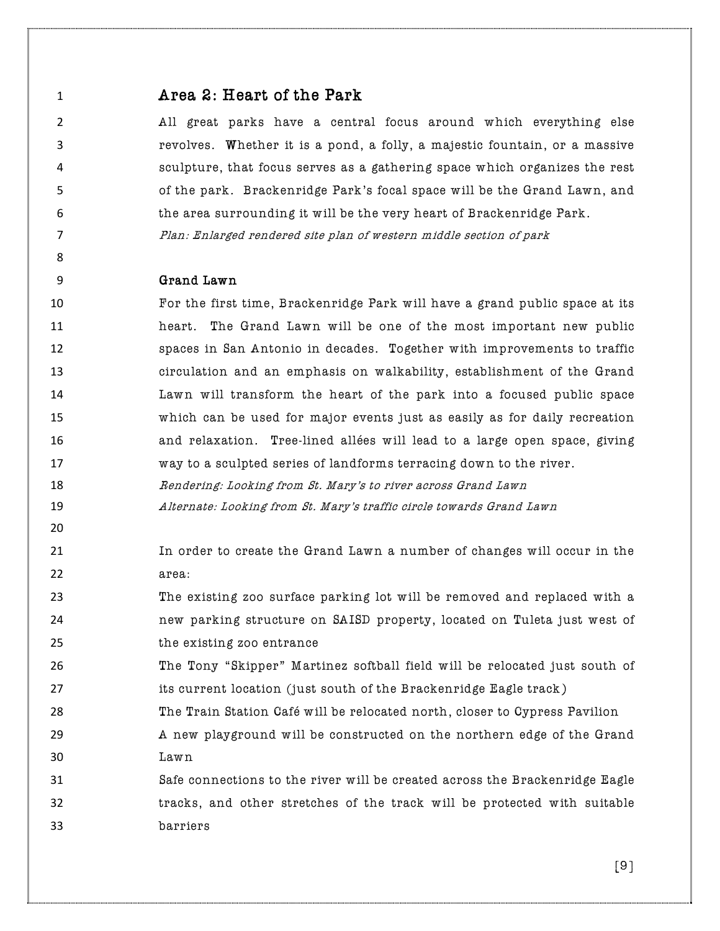- **Area 2: Heart of the Park**  All great parks have a central focus around which everything else revolves. Whether it is a pond, a folly, a majestic fountain, or a massive sculpture, that focus serves as a gathering space which organizes the rest of the park. Brackenridge Park's focal space will be the Grand Lawn, and the area surrounding it will be the very heart of Brackenridge Park. Plan: Enlarged rendered site plan of western middle section of park Grand Lawn For the first time, Brackenridge Park will have a grand public space at its heart. The Grand Lawn will be one of the most important new public spaces in San Antonio in decades. Together with improvements to traffic circulation and an emphasis on walkability, establishment of the Grand Lawn will transform the heart of the park into a focused public space which can be used for major events just as easily as for daily recreation and relaxation. Tree-lined allées will lead to a large open space, giving way to a sculpted series of landforms terracing down to the river. **Rendering: Looking from St. Mary's to river across Grand Lawn**  Alternate: Looking from St. Mary's traffic circle towards Grand Lawn In order to create the Grand Lawn a number of changes will occur in the 22 area: The existing zoo surface parking lot will be removed and replaced with a new parking structure on SAISD property, located on Tuleta just west of the existing zoo entrance The Tony "Skipper" Martinez softball field will be relocated just south of
- **its current location** (just south of the Brackenridge Eagle track)
- The Train Station Café will be relocated north, closer to Cypress Pavilion
- A new playground will be constructed on the northern edge of the Grand Lawn
- Safe connections to the river will be created across the Brackenridge Eagle tracks, and other stretches of the track will be protected with suitable barriers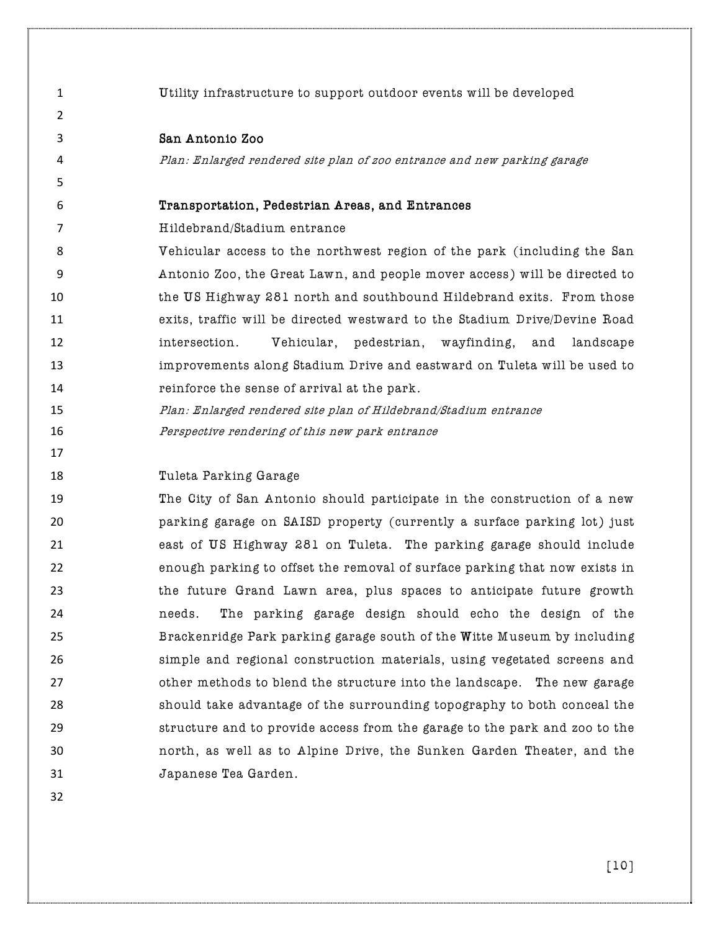Utility infrastructure to support outdoor events will be developed San Antonio Zoo Plan: Enlarged rendered site plan of zoo entrance and new parking garage Transportation, Pedestrian Areas, and Entrances Hildebrand/Stadium entrance Vehicular access to the northwest region of the park (including the San Antonio Zoo, the Great Lawn, and people mover access) will be directed to the US Highway 281 north and southbound Hildebrand exits. From those exits, traffic will be directed westward to the Stadium Drive/Devine Road intersection. Vehicular, pedestrian, wayfinding, and landscape improvements along Stadium Drive and eastward on Tuleta will be used to reinforce the sense of arrival at the park. Plan: Enlarged rendered site plan of Hildebrand/Stadium entrance Perspective rendering of this new park entrance Tuleta Parking Garage The City of San Antonio should participate in the construction of a new parking garage on SAISD property (currently a surface parking lot) just east of US Highway 281 on Tuleta. The parking garage should include enough parking to offset the removal of surface parking that now exists in the future Grand Lawn area, plus spaces to anticipate future growth needs. The parking garage design should echo the design of the Brackenridge Park parking garage south of the Witte Museum by including simple and regional construction materials, using vegetated screens and **butch other methods to blend the structure into the landscape.** The new garage should take advantage of the surrounding topography to both conceal the structure and to provide access from the garage to the park and zoo to the north, as well as to Alpine Drive, the Sunken Garden Theater, and the Japanese Tea Garden.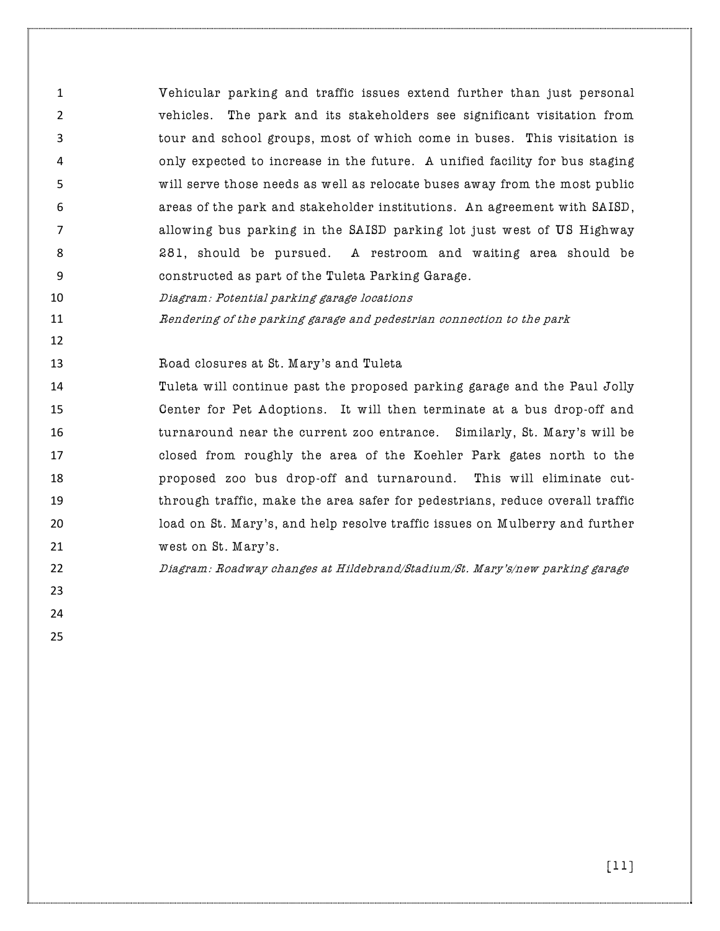Vehicular parking and traffic issues extend further than just personal vehicles. The park and its stakeholders see significant visitation from tour and school groups, most of which come in buses. This visitation is only expected to increase in the future. A unified facility for bus staging will serve those needs as well as relocate buses away from the most public areas of the park and stakeholder institutions. An agreement with SAISD, allowing bus parking in the SAISD parking lot just west of US Highway 281, should be pursued. A restroom and waiting area should be constructed as part of the Tuleta Parking Garage.

Diagram: Potential parking garage locations

Rendering of the parking garage and pedestrian connection to the park

Road closures at St. Mary's and Tuleta

 Tuleta will continue past the proposed parking garage and the Paul Jolly Center for Pet Adoptions. It will then terminate at a bus drop-off and turnaround near the current zoo entrance. Similarly, St. Mary's will be closed from roughly the area of the Koehler Park gates north to the proposed zoo bus drop-off and turnaround. This will eliminate cut- through traffic, make the area safer for pedestrians, reduce overall traffic load on St. Mary's, and help resolve traffic issues on Mulberry and further 21 west on St. Mary's.

Diagram: Roadway changes at Hildebrand/Stadium/St. Mary's/new parking garage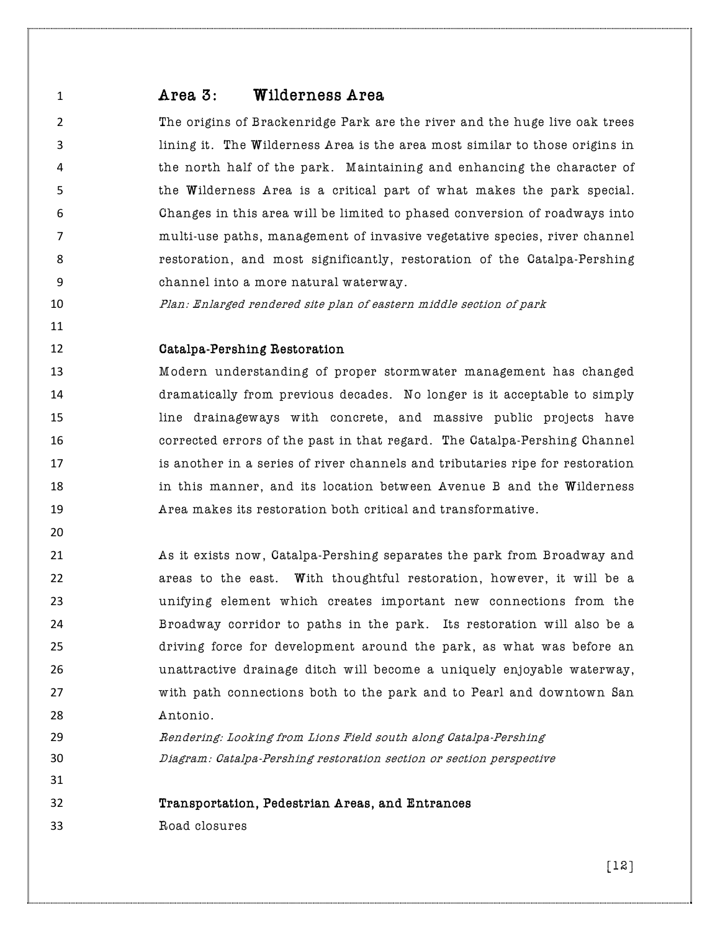# Area 3: Wilderness Area

 The origins of Brackenridge Park are the river and the huge live oak trees lining it. The Wilderness Area is the area most similar to those origins in the north half of the park. Maintaining and enhancing the character of the Wilderness Area is a critical part of what makes the park special. Changes in this area will be limited to phased conversion of roadways into multi-use paths, management of invasive vegetative species, river channel restoration, and most significantly, restoration of the Catalpa-Pershing channel into a more natural waterway.

Plan: Enlarged rendered site plan of eastern middle section of park

# Catalpa-Pershing Restoration

 Modern understanding of proper stormwater management has changed dramatically from previous decades. No longer is it acceptable to simply line drainageways with concrete, and massive public projects have corrected errors of the past in that regard. The Catalpa-Pershing Channel is another in a series of river channels and tributaries ripe for restoration **in this manner, and its location between Avenue B and the Wilderness** Area makes its restoration both critical and transformative.

 As it exists now, Catalpa-Pershing separates the park from Broadway and **areas to the east.** With thoughtful restoration, however, it will be a unifying element which creates important new connections from the Broadway corridor to paths in the park. Its restoration will also be a driving force for development around the park, as what was before an unattractive drainage ditch will become a uniquely enjoyable waterway, with path connections both to the park and to Pearl and downtown San Antonio.

 Rendering: Looking from Lions Field south along Catalpa-Pershing Diagram: Catalpa-Pershing restoration section or section perspective

Transportation, Pedestrian Areas, and Entrances

Road closures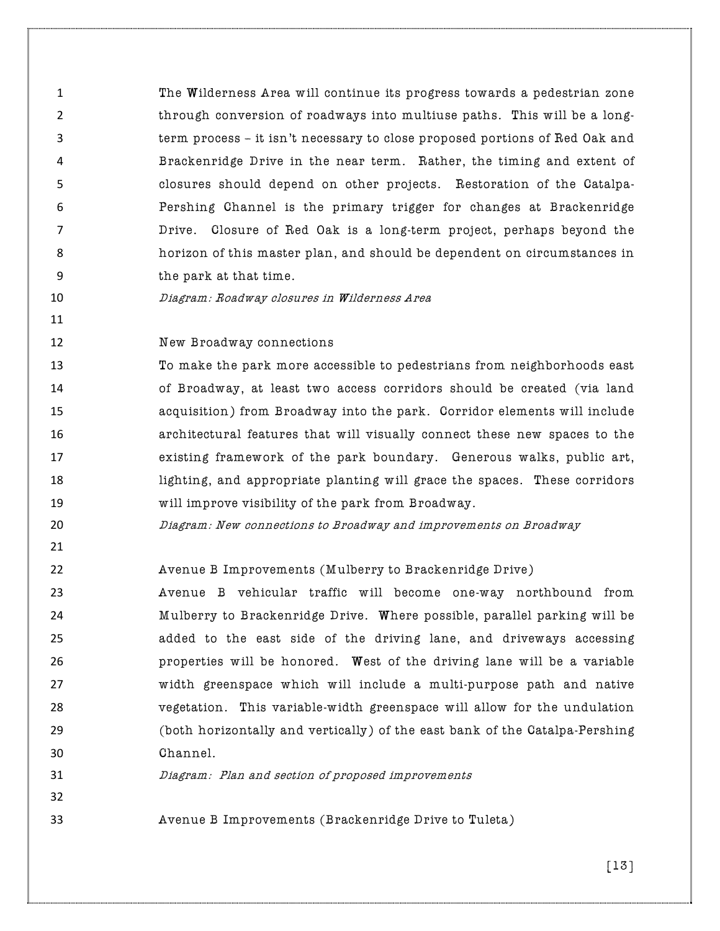The Wilderness Area will continue its progress towards a pedestrian zone 2 through conversion of roadways into multiuse paths. This will be a long- term process – it isn't necessary to close proposed portions of Red Oak and Brackenridge Drive in the near term. Rather, the timing and extent of closures should depend on other projects. Restoration of the Catalpa- Pershing Channel is the primary trigger for changes at Brackenridge Drive. Closure of Red Oak is a long-term project, perhaps beyond the horizon of this master plan, and should be dependent on circumstances in the park at that time.

# Diagram: Roadway closures in Wilderness Area

**New Broadway connections** 

 To make the park more accessible to pedestrians from neighborhoods east of Broadway, at least two access corridors should be created (via land acquisition) from Broadway into the park. Corridor elements will include architectural features that will visually connect these new spaces to the existing framework of the park boundary. Generous walks, public art, lighting, and appropriate planting will grace the spaces. These corridors will improve visibility of the park from Broadway.

- Diagram: New connections to Broadway and improvements on Broadway
- 

Avenue B Improvements (Mulberry to Brackenridge Drive)

 Avenue B vehicular traffic will become one-way northbound from Mulberry to Brackenridge Drive. Where possible, parallel parking will be added to the east side of the driving lane, and driveways accessing properties will be honored. West of the driving lane will be a variable width greenspace which will include a multi-purpose path and native vegetation. This variable-width greenspace will allow for the undulation (both horizontally and vertically) of the east bank of the Catalpa-Pershing Channel.

Diagram: Plan and section of proposed improvements

Avenue B Improvements (Brackenridge Drive to Tuleta)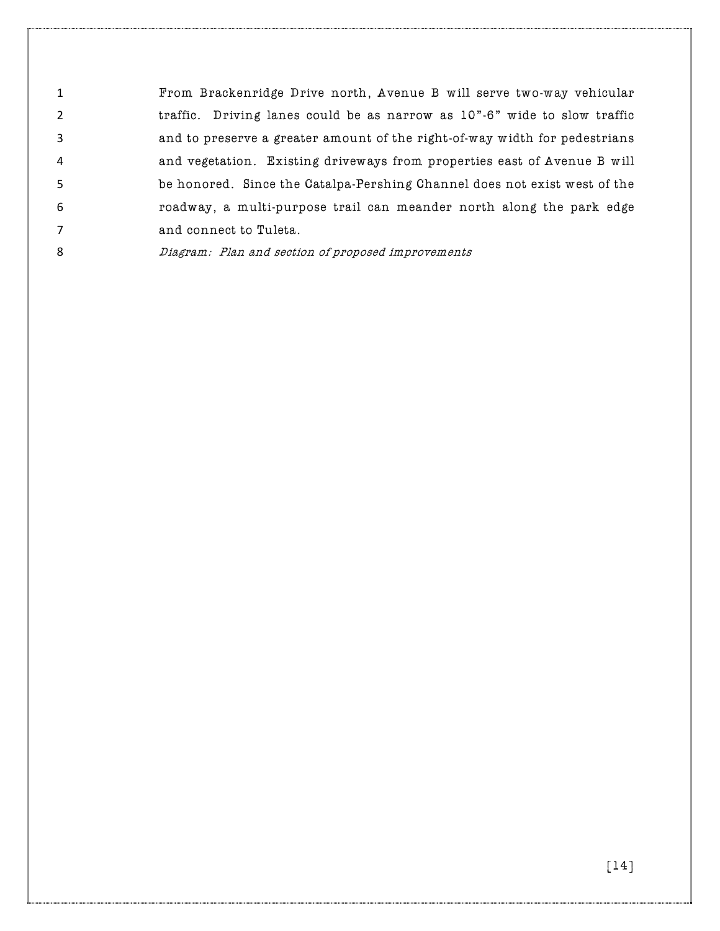From Brackenridge Drive north, Avenue B will serve two-way vehicular traffic. Driving lanes could be as narrow as 10"-6" wide to slow traffic and to preserve a greater amount of the right-of-way width for pedestrians and vegetation. Existing driveways from properties east of Avenue B will be honored. Since the Catalpa-Pershing Channel does not exist west of the roadway, a multi-purpose trail can meander north along the park edge 7 and connect to Tuleta.

Diagram: Plan and section of proposed improvements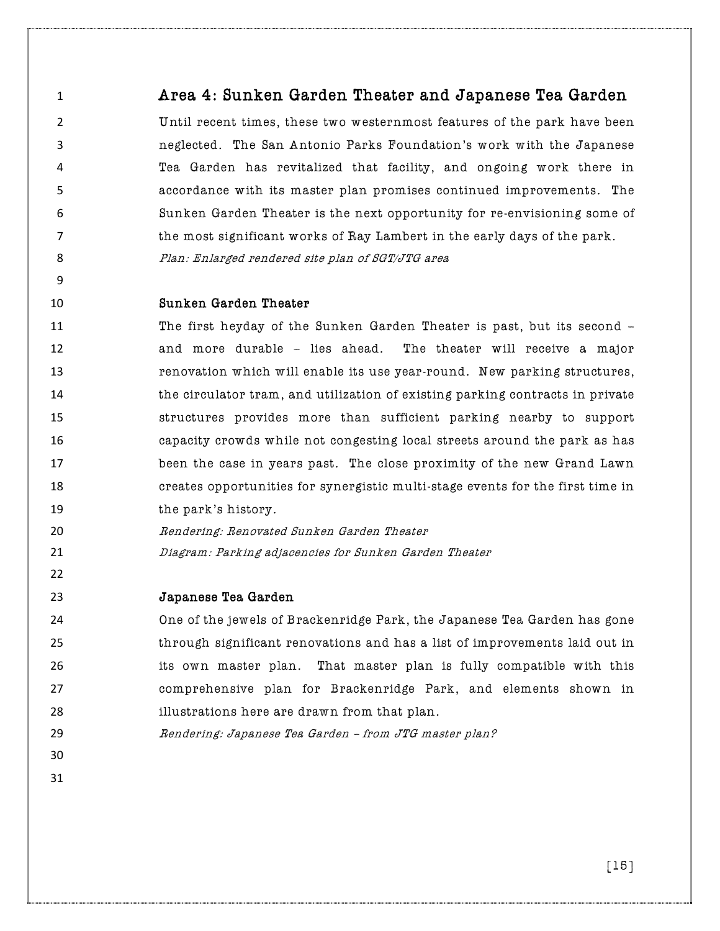# Area 4: Sunken Garden Theater and Japanese Tea Garden

 Until recent times, these two westernmost features of the park have been neglected. The San Antonio Parks Foundation's work with the Japanese Tea Garden has revitalized that facility, and ongoing work there in accordance with its master plan promises continued improvements. The Sunken Garden Theater is the next opportunity for re-envisioning some of the most significant works of Ray Lambert in the early days of the park. 8 Plan: Enlarged rendered site plan of SGT/JTG area

#### Sunken Garden Theater

 The first heyday of the Sunken Garden Theater is past, but its second – and more durable – lies ahead. The theater will receive a major renovation which will enable its use year-round. New parking structures, **the circulator tram, and utilization of existing parking contracts in private**  structures provides more than sufficient parking nearby to support capacity crowds while not congesting local streets around the park as has been the case in years past. The close proximity of the new Grand Lawn creates opportunities for synergistic multi-stage events for the first time in **the park's history.** 

- Rendering: Renovated Sunken Garden Theater
- Diagram: Parking adjacencies for Sunken Garden Theater

# Japanese Tea Garden

 One of the jewels of Brackenridge Park, the Japanese Tea Garden has gone through significant renovations and has a list of improvements laid out in its own master plan. That master plan is fully compatible with this comprehensive plan for Brackenridge Park, and elements shown in illustrations here are drawn from that plan.

Rendering: Japanese Tea Garden – from JTG master plan?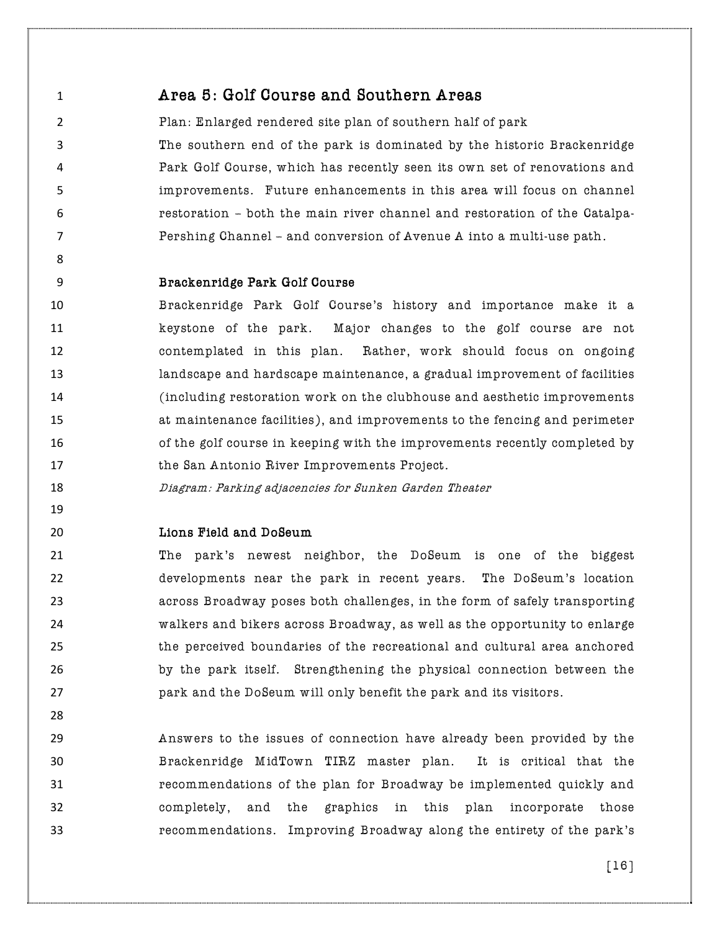Area 5: Golf Course and Southern Areas

 Plan: Enlarged rendered site plan of southern half of park The southern end of the park is dominated by the historic Brackenridge Park Golf Course, which has recently seen its own set of renovations and improvements. Future enhancements in this area will focus on channel restoration – both the main river channel and restoration of the Catalpa-Pershing Channel – and conversion of Avenue A into a multi-use path.

#### Brackenridge Park Golf Course

 Brackenridge Park Golf Course's history and importance make it a keystone of the park. Major changes to the golf course are not contemplated in this plan. Rather, work should focus on ongoing landscape and hardscape maintenance, a gradual improvement of facilities (including restoration work on the clubhouse and aesthetic improvements at maintenance facilities), and improvements to the fencing and perimeter of the golf course in keeping with the improvements recently completed by the San Antonio River Improvements Project.

- Diagram: Parking adjacencies for Sunken Garden Theater
- 

# Lions Field and DoSeum

 The park's newest neighbor, the DoSeum is one of the biggest developments near the park in recent years. The DoSeum's location across Broadway poses both challenges, in the form of safely transporting walkers and bikers across Broadway, as well as the opportunity to enlarge the perceived boundaries of the recreational and cultural area anchored by the park itself. Strengthening the physical connection between the park and the DoSeum will only benefit the park and its visitors.

 Answers to the issues of connection have already been provided by the Brackenridge MidTown TIRZ master plan. It is critical that the recommendations of the plan for Broadway be implemented quickly and completely, and the graphics in this plan incorporate those recommendations. Improving Broadway along the entirety of the park's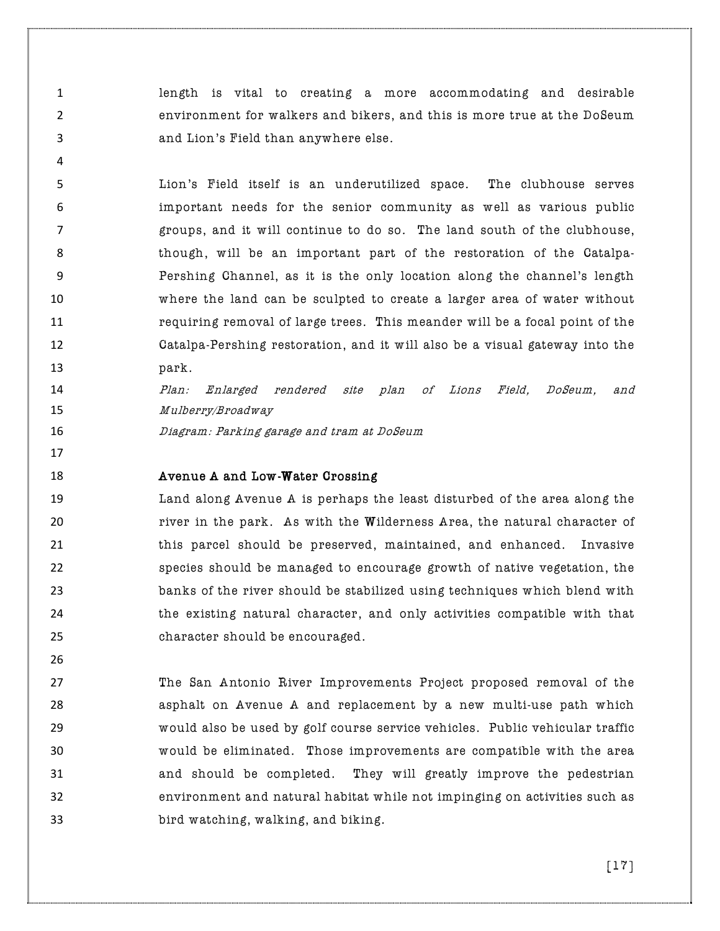length is vital to creating a more accommodating and desirable environment for walkers and bikers, and this is more true at the DoSeum and Lion's Field than anywhere else.

 Lion's Field itself is an underutilized space. The clubhouse serves important needs for the senior community as well as various public groups, and it will continue to do so. The land south of the clubhouse, though, will be an important part of the restoration of the Catalpa- Pershing Channel, as it is the only location along the channel's length where the land can be sculpted to create a larger area of water without requiring removal of large trees. This meander will be a focal point of the Catalpa-Pershing restoration, and it will also be a visual gateway into the **park.** 

 Plan: Enlarged rendered site plan of Lions Field, DoSeum, and Mulberry/Broadway

Diagram: Parking garage and tram at DoSeum

#### **Avenue A and Low-Water Crossing**

 Land along Avenue A is perhaps the least disturbed of the area along the river in the park. As with the Wilderness Area, the natural character of this parcel should be preserved, maintained, and enhanced. Invasive species should be managed to encourage growth of native vegetation, the banks of the river should be stabilized using techniques which blend with the existing natural character, and only activities compatible with that character should be encouraged.

 The San Antonio River Improvements Project proposed removal of the asphalt on Avenue A and replacement by a new multi-use path which would also be used by golf course service vehicles. Public vehicular traffic would be eliminated. Those improvements are compatible with the area and should be completed. They will greatly improve the pedestrian environment and natural habitat while not impinging on activities such as bird watching, walking, and biking.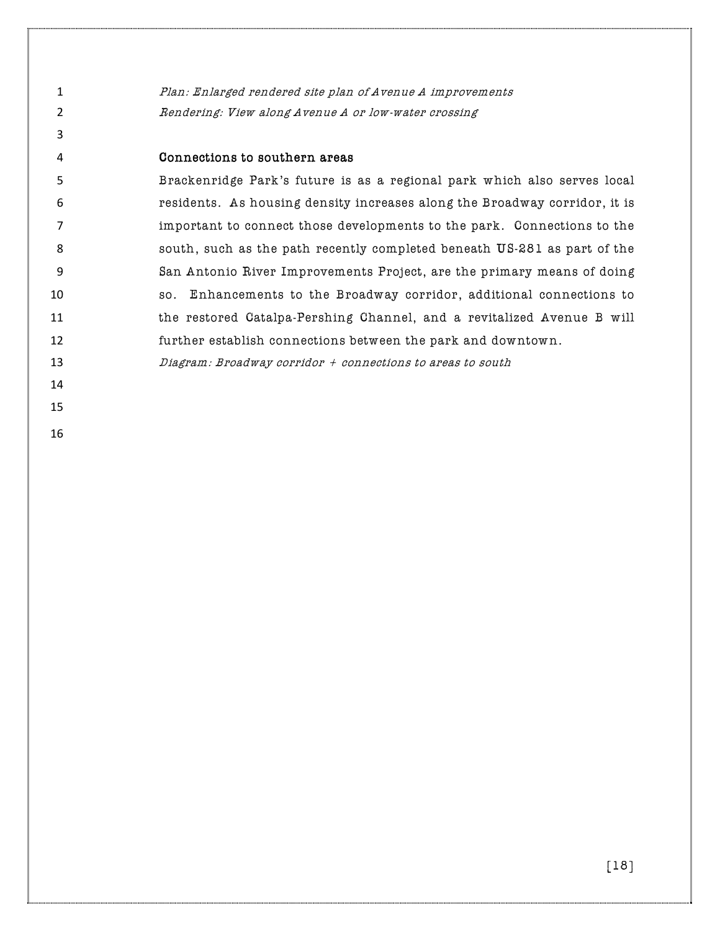Plan: Enlarged rendered site plan of Avenue A improvements 2 Rendering: View along Avenue A or low-water crossing

# Connections to southern areas

 Brackenridge Park's future is as a regional park which also serves local residents. As housing density increases along the Broadway corridor, it is important to connect those developments to the park. Connections to the south, such as the path recently completed beneath US-281 as part of the San Antonio River Improvements Project, are the primary means of doing so. Enhancements to the Broadway corridor, additional connections to the restored Catalpa-Pershing Channel, and a revitalized Avenue B will further establish connections between the park and downtown.

Diagram: Broadway corridor + connections to areas to south

- 
-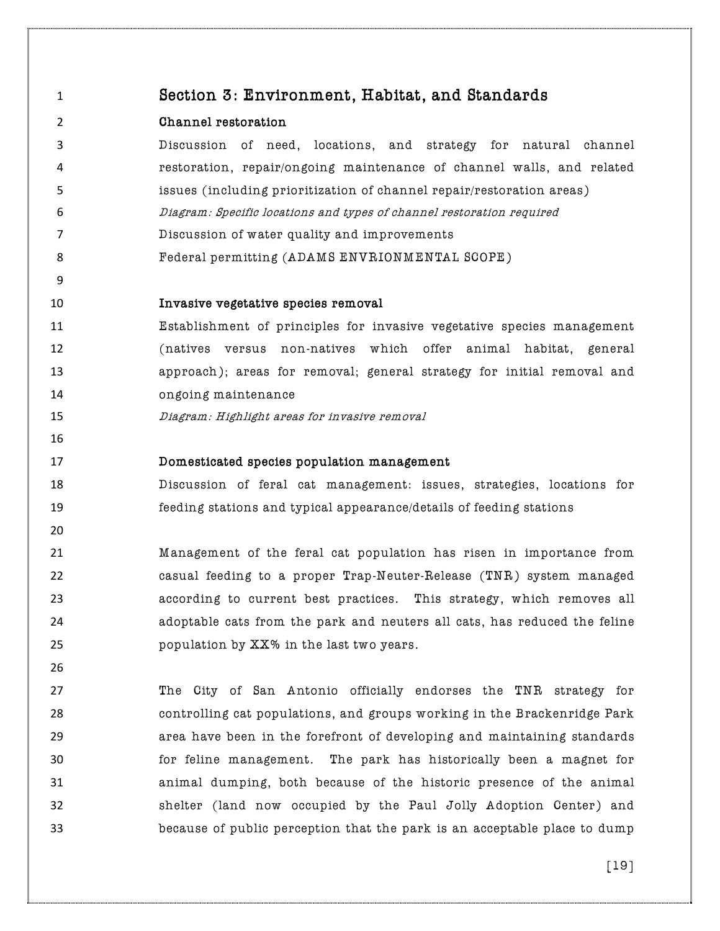| $\mathbf{1}$   | Section 3: Environment, Habitat, and Standards                            |
|----------------|---------------------------------------------------------------------------|
| $\overline{2}$ | Channel restoration                                                       |
| 3              | Discussion of need, locations, and strategy for natural channel           |
| 4              | restoration, repair/ongoing maintenance of channel walls, and related     |
| 5              | issues (including prioritization of channel repair/restoration areas)     |
| 6              | Diagram: Specific locations and types of channel restoration required     |
| $\overline{7}$ | Discussion of water quality and improvements                              |
| 8              | Federal permitting (ADAMS ENVRIONMENTAL SCOPE)                            |
| 9              |                                                                           |
| 10             | Invasive vegetative species removal                                       |
| 11             | Establishment of principles for invasive vegetative species management    |
| 12             | (natives versus non-natives which offer<br>animal habitat, general        |
| 13             | approach); areas for removal; general strategy for initial removal and    |
| 14             | ongoing maintenance                                                       |
| 15             | Diagram: Highlight areas for invasive removal                             |
| 16             |                                                                           |
| 17             | Domesticated species population management                                |
| 18             | Discussion of feral cat management: issues, strategies, locations for     |
| 19             | feeding stations and typical appearance/details of feeding stations       |
| 20             |                                                                           |
| 21             | Management of the feral cat population has risen in importance from       |
| 22             | casual feeding to a proper Trap-Neuter-Release (TNR) system managed       |
| 23             | according to current best practices. This strategy, which removes all     |
| 24             | adoptable cats from the park and neuters all cats, has reduced the feline |
| 25             | population by XX% in the last two years.                                  |
| 26             |                                                                           |
| 27             | The City of San Antonio officially endorses the TNR strategy for          |
| 28             | controlling cat populations, and groups working in the Brackenridge Park  |
| 29             | area have been in the forefront of developing and maintaining standards   |
| 30             | for feline management. The park has historically been a magnet for        |
| 31             | animal dumping, both because of the historic presence of the animal       |
| 32             | shelter (land now occupied by the Paul Jolly Adoption Center) and         |
| 33             | because of public perception that the park is an acceptable place to dump |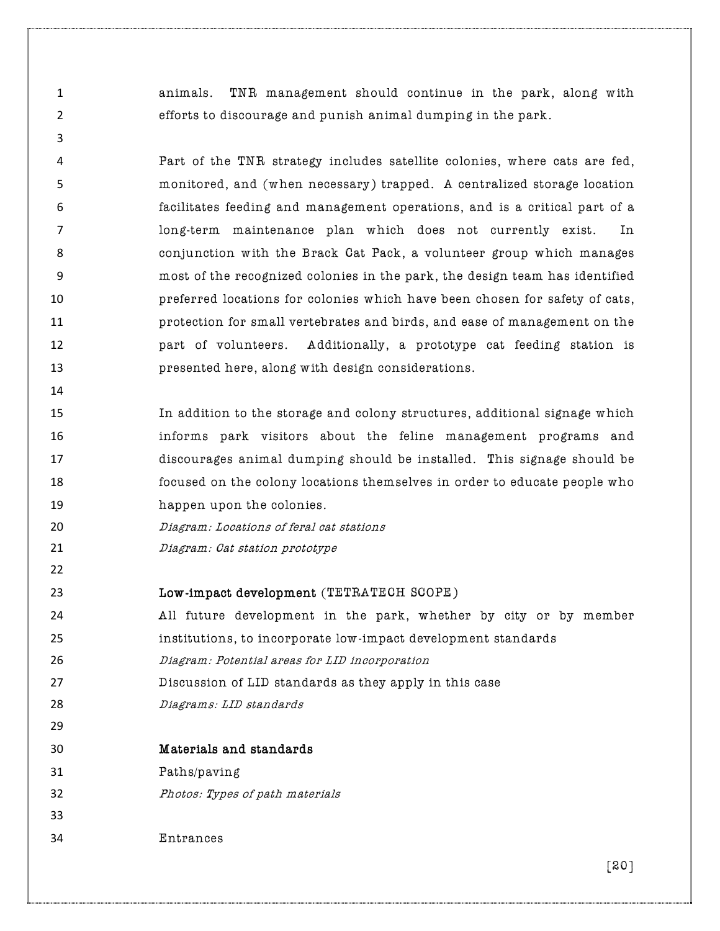animals. TNR management should continue in the park, along with efforts to discourage and punish animal dumping in the park.

 Part of the TNR strategy includes satellite colonies, where cats are fed, monitored, and (when necessary) trapped. A centralized storage location facilitates feeding and management operations, and is a critical part of a long-term maintenance plan which does not currently exist. In conjunction with the Brack Cat Pack, a volunteer group which manages most of the recognized colonies in the park, the design team has identified preferred locations for colonies which have been chosen for safety of cats, protection for small vertebrates and birds, and ease of management on the **part of volunteers.** Additionally, a prototype cat feeding station is presented here, along with design considerations.

 In addition to the storage and colony structures, additional signage which informs park visitors about the feline management programs and discourages animal dumping should be installed. This signage should be focused on the colony locations themselves in order to educate people who happen upon the colonies.

- Diagram: Locations of feral cat stations
- 21 Diagram: Cat station prototype

#### Low-impact development (TETRATECH SCOPE)

- All future development in the park, whether by city or by member
- institutions, to incorporate low-impact development standards
- Diagram: Potential areas for LID incorporation
- Discussion of LID standards as they apply in this case
- Diagrams: LID standards
- Materials and standards
- Paths/paving
- Photos: Types of path materials
- 

Entrances

[20]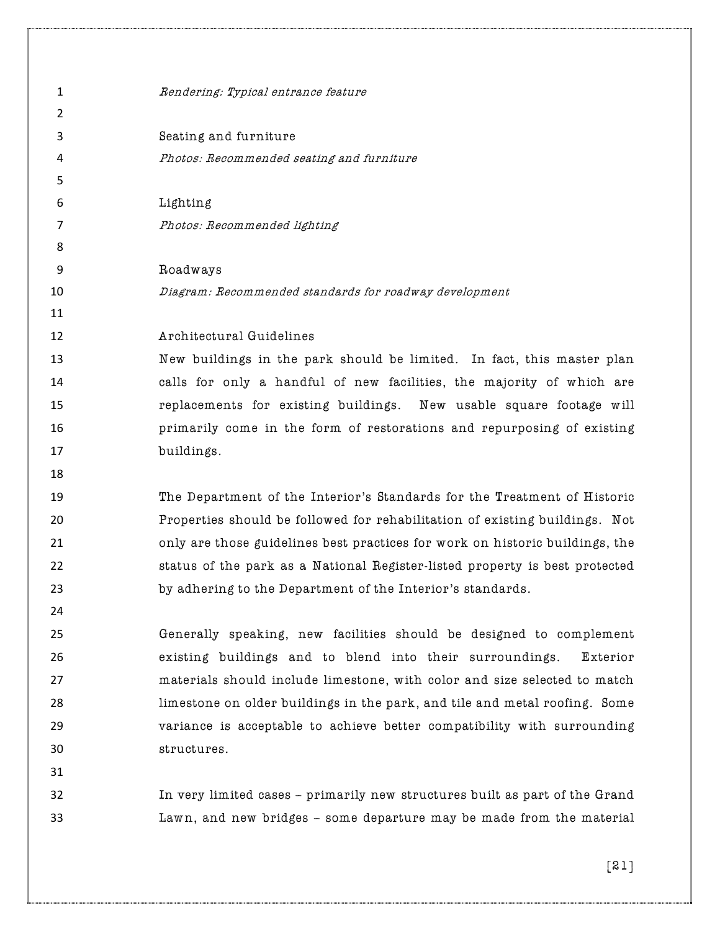1 Rendering: Typical entrance feature  $\overline{\mathbf{z}}$  Seating and furniture Photos: Recommended seating and furniture Lighting Photos: Recommended lighting Roadways Diagram: Recommended standards for roadway development Architectural Guidelines New buildings in the park should be limited. In fact, this master plan calls for only a handful of new facilities, the majority of which are replacements for existing buildings. New usable square footage will primarily come in the form of restorations and repurposing of existing **buildings.**  The Department of the Interior's Standards for the Treatment of Historic Properties should be followed for rehabilitation of existing buildings. Not only are those guidelines best practices for work on historic buildings, the status of the park as a National Register-listed property is best protected by adhering to the Department of the Interior's standards. Generally speaking, new facilities should be designed to complement existing buildings and to blend into their surroundings. Exterior materials should include limestone, with color and size selected to match limestone on older buildings in the park, and tile and metal roofing. Some variance is acceptable to achieve better compatibility with surrounding structures. In very limited cases – primarily new structures built as part of the Grand Lawn, and new bridges – some departure may be made from the material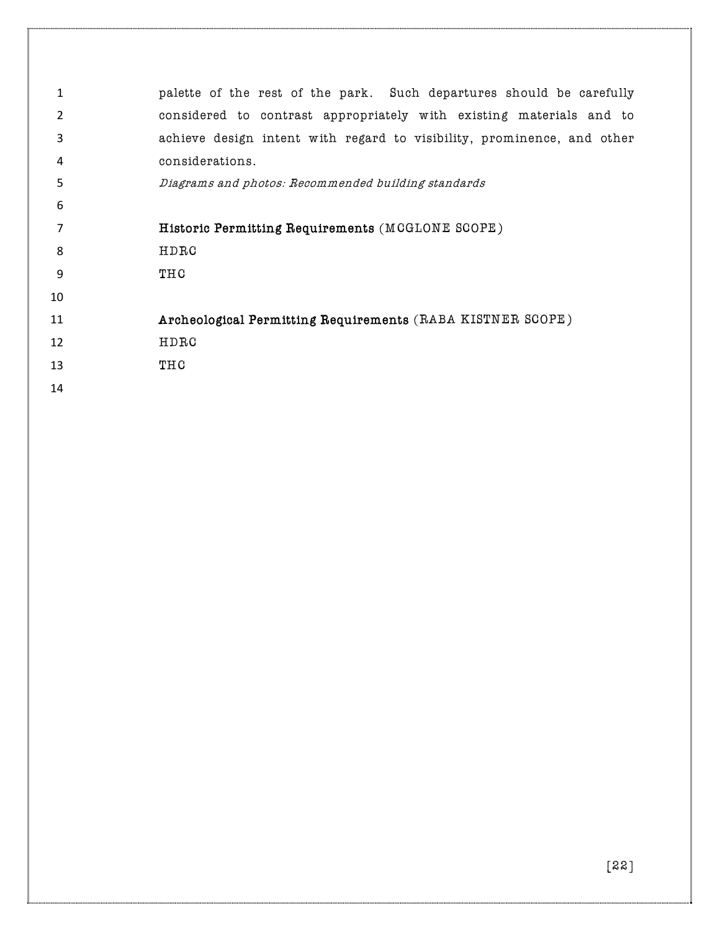| 1  | palette of the rest of the park. Such departures should be carefully   |
|----|------------------------------------------------------------------------|
| 2  | considered to contrast appropriately with existing materials and to    |
| 3  | achieve design intent with regard to visibility, prominence, and other |
| 4  | considerations.                                                        |
| 5  | Diagrams and photos: Recommended building standards                    |
| 6  |                                                                        |
| 7  | Historic Permitting Requirements (MCGLONE SCOPE)                       |
| 8  | HDRC                                                                   |
| 9  | THC                                                                    |
| 10 |                                                                        |
| 11 | Archeological Permitting Requirements (RABA KISTNER SCOPE)             |
| 12 | HDRC                                                                   |
| 13 | THC                                                                    |
| 14 |                                                                        |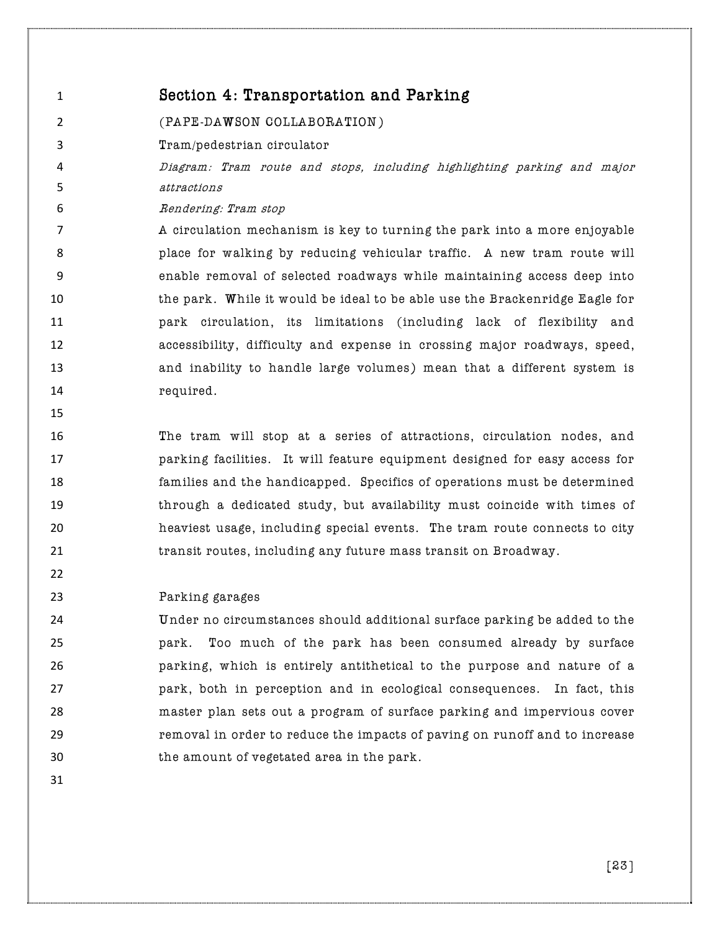| 1              | Section 4: Transportation and Parking                                       |
|----------------|-----------------------------------------------------------------------------|
| 2              | (PAPE-DAWSON COLLABORATION)                                                 |
| 3              | Tram/pedestrian circulator                                                  |
| 4              | Diagram: Tram route and stops, including highlighting parking and major     |
| 5              | attractions                                                                 |
| 6              | Rendering: Tram stop                                                        |
| $\overline{7}$ | A circulation mechanism is key to turning the park into a more enjoyable    |
| 8              | place for walking by reducing vehicular traffic. A new tram route will      |
| 9              | enable removal of selected roadways while maintaining access deep into      |
| 10             | the park. While it would be ideal to be able use the Brackenridge Eagle for |
| 11             | park circulation, its limitations (including lack of flexibility and        |
| 12             | accessibility, difficulty and expense in crossing major roadways, speed,    |
| 13             | and inability to handle large volumes) mean that a different system is      |
| 14             | required.                                                                   |
| 15             |                                                                             |
| 16             | The tram will stop at a series of attractions, circulation nodes, and       |

 parking facilities. It will feature equipment designed for easy access for families and the handicapped. Specifics of operations must be determined through a dedicated study, but availability must coincide with times of heaviest usage, including special events. The tram route connects to city transit routes, including any future mass transit on Broadway.

#### Parking garages

 Under no circumstances should additional surface parking be added to the park. Too much of the park has been consumed already by surface parking, which is entirely antithetical to the purpose and nature of a park, both in perception and in ecological consequences. In fact, this master plan sets out a program of surface parking and impervious cover removal in order to reduce the impacts of paving on runoff and to increase the amount of vegetated area in the park.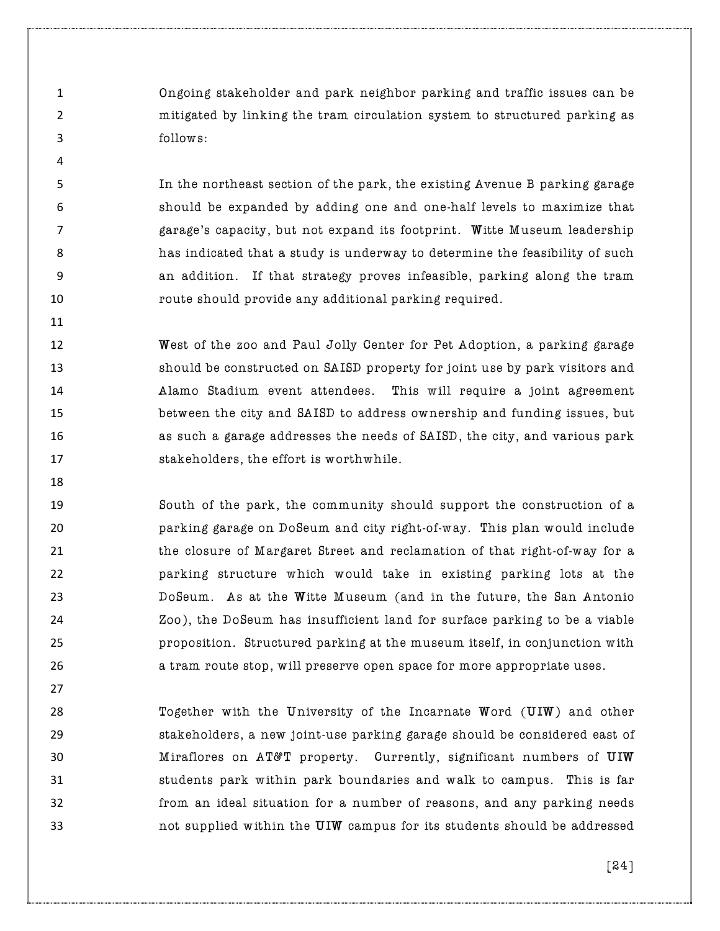Ongoing stakeholder and park neighbor parking and traffic issues can be mitigated by linking the tram circulation system to structured parking as follows:

 In the northeast section of the park, the existing Avenue B parking garage should be expanded by adding one and one-half levels to maximize that garage's capacity, but not expand its footprint. Witte Museum leadership has indicated that a study is underway to determine the feasibility of such an addition. If that strategy proves infeasible, parking along the tram route should provide any additional parking required.

**West of the zoo and Paul Jolly Center for Pet Adoption, a parking garage**  should be constructed on SAISD property for joint use by park visitors and Alamo Stadium event attendees. This will require a joint agreement between the city and SAISD to address ownership and funding issues, but **as such a garage addresses the needs of SAISD**, the city, and various park stakeholders, the effort is worthwhile.

 South of the park, the community should support the construction of a parking garage on DoSeum and city right-of-way. This plan would include the closure of Margaret Street and reclamation of that right-of-way for a parking structure which would take in existing parking lots at the DoSeum. As at the Witte Museum (and in the future, the San Antonio Zoo), the DoSeum has insufficient land for surface parking to be a viable proposition. Structured parking at the museum itself, in conjunction with **a** tram route stop, will preserve open space for more appropriate uses.

 Together with the University of the Incarnate Word (UIW) and other stakeholders, a new joint-use parking garage should be considered east of **Miraflores on AT&T property.** Currently, significant numbers of **UIW**  students park within park boundaries and walk to campus. This is far from an ideal situation for a number of reasons, and any parking needs not supplied within the UIW campus for its students should be addressed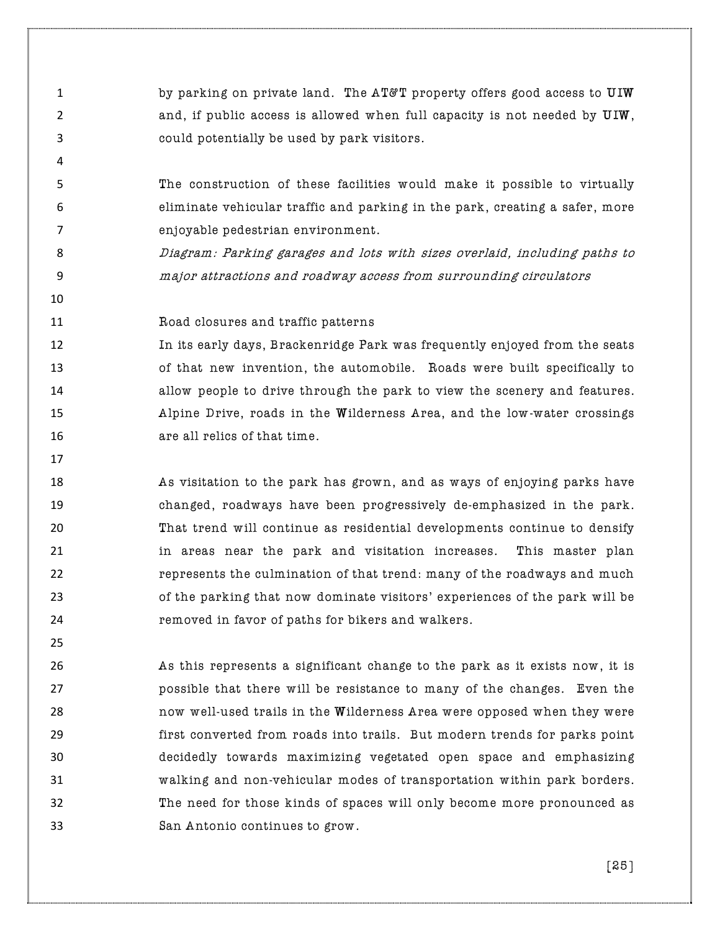**by parking on private land. The AT&T property offers good access to UIW** 2 and, if public access is allowed when full capacity is not needed by  $UUW$ , could potentially be used by park visitors.

- The construction of these facilities would make it possible to virtually eliminate vehicular traffic and parking in the park, creating a safer, more enjoyable pedestrian environment.
- Diagram: Parking garages and lots with sizes overlaid, including paths to major attractions and roadway access from surrounding circulators
- Road closures and traffic patterns

 In its early days, Brackenridge Park was frequently enjoyed from the seats of that new invention, the automobile. Roads were built specifically to **allow people to drive through the park to view the scenery and features.**  Alpine Drive, roads in the Wilderness Area, and the low-water crossings **16 are all relics of that time.** 

- As visitation to the park has grown, and as ways of enjoying parks have changed, roadways have been progressively de-emphasized in the park. That trend will continue as residential developments continue to densify in areas near the park and visitation increases. This master plan represents the culmination of that trend: many of the roadways and much of the parking that now dominate visitors' experiences of the park will be removed in favor of paths for bikers and walkers.
- As this represents a significant change to the park as it exists now, it is possible that there will be resistance to many of the changes. Even the now well-used trails in the Wilderness Area were opposed when they were first converted from roads into trails. But modern trends for parks point decidedly towards maximizing vegetated open space and emphasizing walking and non-vehicular modes of transportation within park borders. The need for those kinds of spaces will only become more pronounced as San Antonio continues to grow.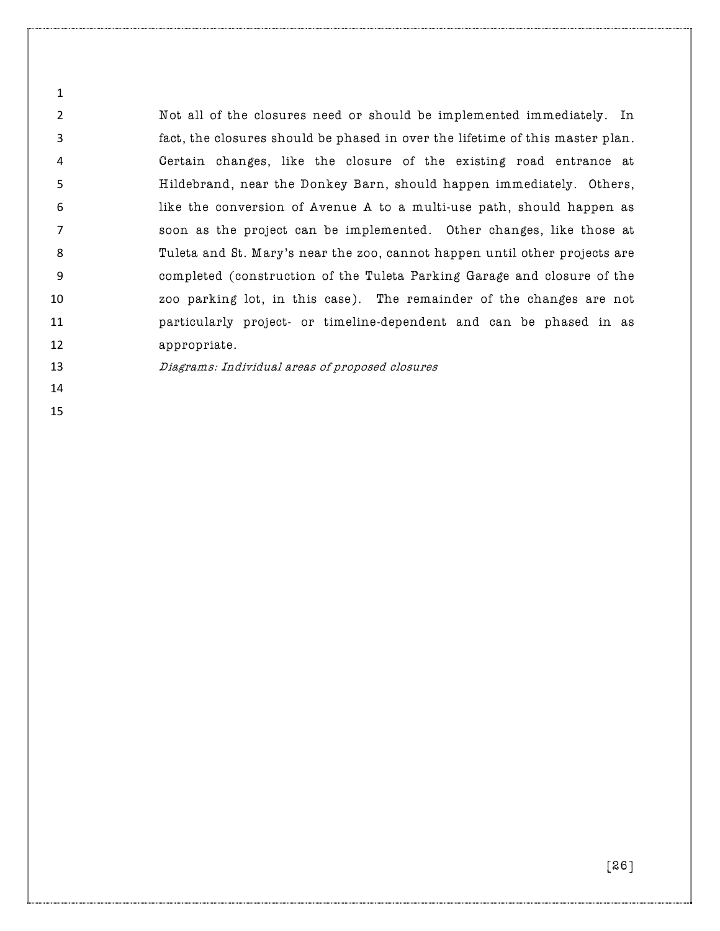Not all of the closures need or should be implemented immediately. In fact, the closures should be phased in over the lifetime of this master plan. Certain changes, like the closure of the existing road entrance at Hildebrand, near the Donkey Barn, should happen immediately. Others, like the conversion of Avenue A to a multi-use path, should happen as soon as the project can be implemented. Other changes, like those at Tuleta and St. Mary's near the zoo, cannot happen until other projects are completed (construction of the Tuleta Parking Garage and closure of the zoo parking lot, in this case). The remainder of the changes are not particularly project- or timeline-dependent and can be phased in as 12 appropriate.

Diagrams: Individual areas of proposed closures

- 
-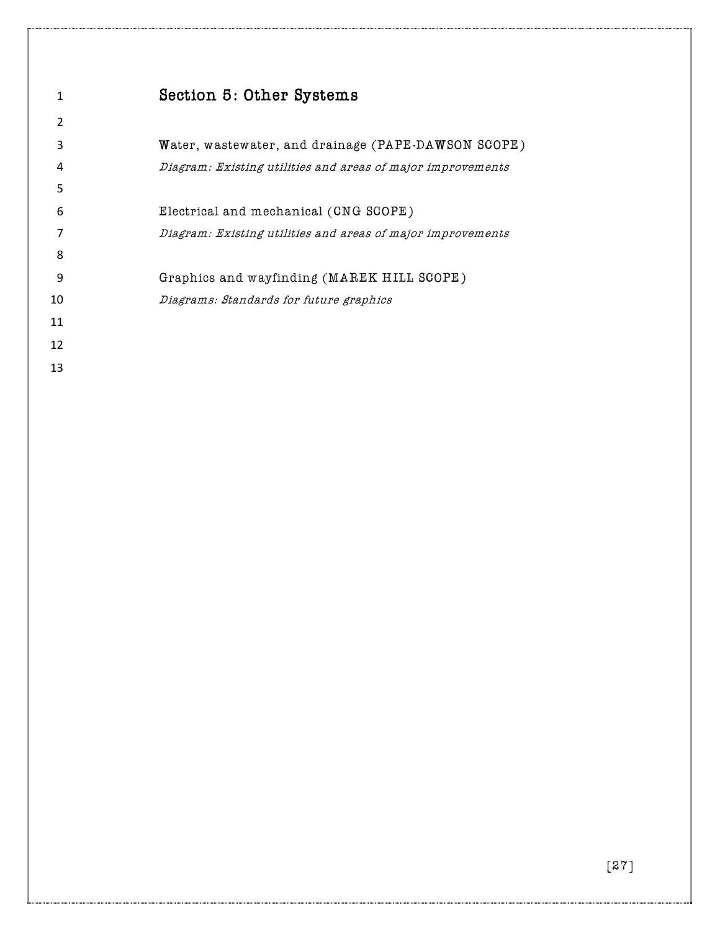| 1  | Section 5: Other Systems                                    |
|----|-------------------------------------------------------------|
| 2  |                                                             |
| 3  | Water, wastewater, and drainage (PAPE-DAWSON SCOPE)         |
| 4  | Diagram: Existing utilities and areas of major improvements |
| 5  |                                                             |
| 6  | Electrical and mechanical (CNG SCOPE)                       |
| 7  | Diagram: Existing utilities and areas of major improvements |
| 8  |                                                             |
| 9  | Graphics and wayfinding (MAREK HILL SCOPE)                  |
| 10 | Diagrams: Standards for future graphics                     |
| 11 |                                                             |
| 12 |                                                             |
| 13 |                                                             |
|    |                                                             |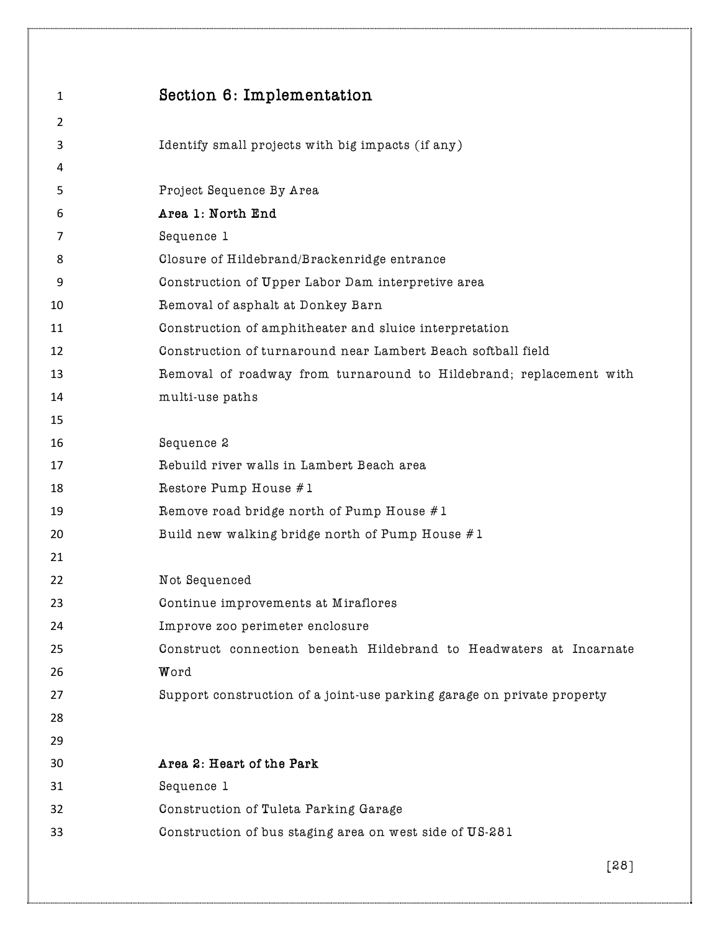| 1              | Section 6: Implementation                                              |
|----------------|------------------------------------------------------------------------|
| $\overline{2}$ |                                                                        |
| 3              | Identify small projects with big impacts (if any)                      |
| 4              |                                                                        |
| 5              | Project Sequence By Area                                               |
| 6              | Area 1: North End                                                      |
| 7              | Sequence 1                                                             |
| 8              | Closure of Hildebrand/Brackenridge entrance                            |
| 9              | Construction of Upper Labor Dam interpretive area                      |
| 10             | Removal of asphalt at Donkey Barn                                      |
| 11             | Construction of amphitheater and sluice interpretation                 |
| 12             | Construction of turnaround near Lambert Beach softball field           |
| 13             | Removal of roadway from turnaround to Hildebrand; replacement with     |
| 14             | multi-use paths                                                        |
| 15             |                                                                        |
| 16             | Sequence 2                                                             |
| 17             | Rebuild river walls in Lambert Beach area                              |
| 18             | Restore Pump House #1                                                  |
| 19             | Remove road bridge north of Pump House #1                              |
| 20             | Build new walking bridge north of Pump House #1                        |
| 21             |                                                                        |
| 22             | Not Sequenced                                                          |
| 23             | Continue improvements at Miraflores                                    |
| 24             | Improve zoo perimeter enclosure                                        |
| 25             | Construct connection beneath Hildebrand to Headwaters at Incarnate     |
| 26             | Word                                                                   |
| 27             | Support construction of a joint-use parking garage on private property |
| 28             |                                                                        |
| 29             |                                                                        |
| 30             | Area 2: Heart of the Park                                              |
| 31             | Sequence 1                                                             |
| 32             | Construction of Tuleta Parking Garage                                  |
| 33             | Construction of bus staging area on west side of US-281                |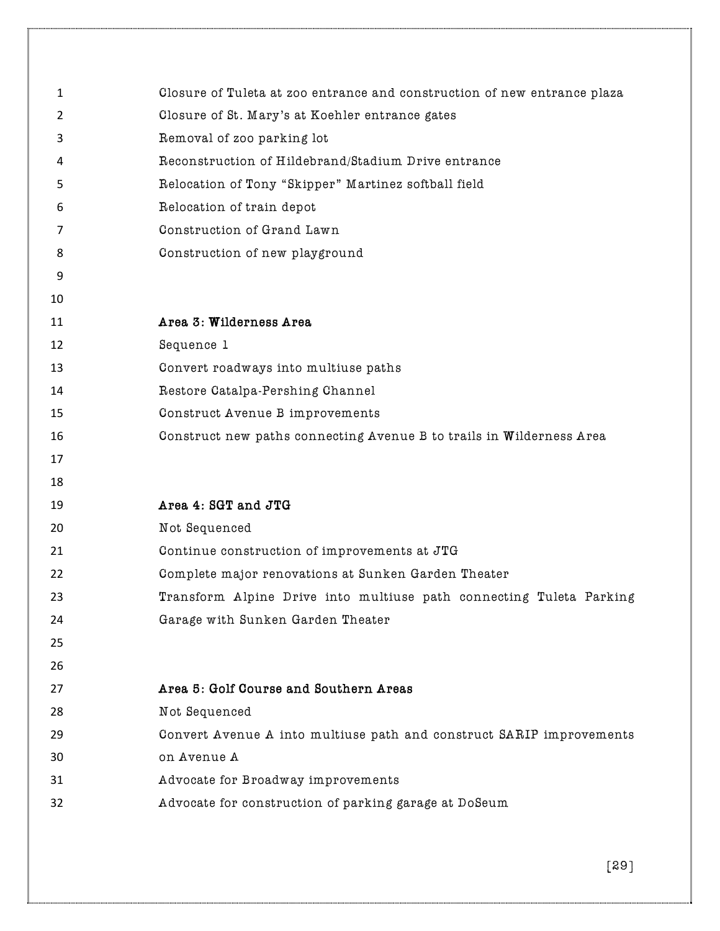| $\mathbf{1}$   | Closure of Tuleta at zoo entrance and construction of new entrance plaza |
|----------------|--------------------------------------------------------------------------|
| $\overline{2}$ | Closure of St. Mary's at Koehler entrance gates                          |
| 3              | Removal of zoo parking lot                                               |
| 4              | Reconstruction of Hildebrand/Stadium Drive entrance                      |
| 5              | Relocation of Tony "Skipper" Martinez softball field                     |
| 6              | Relocation of train depot                                                |
| 7              | Construction of Grand Lawn                                               |
| 8              | Construction of new playground                                           |
| 9              |                                                                          |
| 10             |                                                                          |
| 11             | Area 3: Wilderness Area                                                  |
| 12             | Sequence 1                                                               |
| 13             | Convert roadways into multiuse paths                                     |
| 14             | Restore Catalpa-Pershing Channel                                         |
| 15             | Construct Avenue B improvements                                          |
| 16             | Construct new paths connecting Avenue B to trails in Wilderness Area     |
| 17             |                                                                          |
| 18             |                                                                          |
| 19             | Area 4: SGT and JTG                                                      |
| 20             | Not Sequenced                                                            |
| 21             | Continue construction of improvements at JTG                             |
| 22             | Complete major renovations at Sunken Garden Theater                      |
| 23             | Transform Alpine Drive into multiuse path connecting Tuleta Parking      |
| 24             | Garage with Sunken Garden Theater                                        |
| 25             |                                                                          |
| 26             |                                                                          |
| 27             | Area 5: Golf Course and Southern Areas                                   |
| 28             | Not Sequenced                                                            |
| 29             | Convert Avenue A into multiuse path and construct SARIP improvements     |
| 30             | on Avenue A                                                              |
| 31             | Advocate for Broadway improvements                                       |
| 32             | Advocate for construction of parking garage at DoSeum                    |
|                |                                                                          |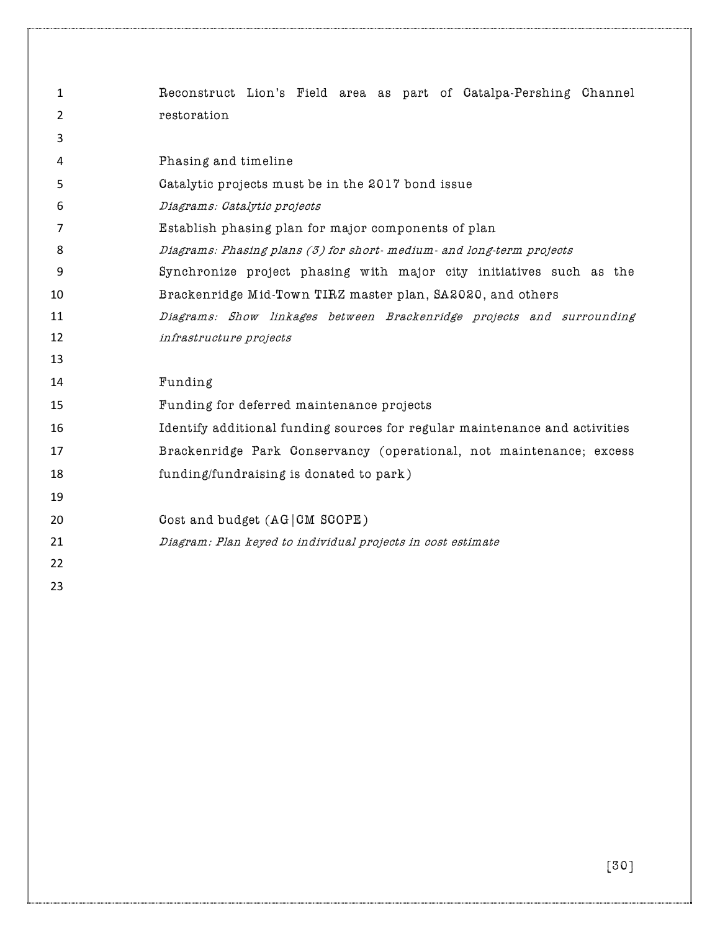| $\mathbf{1}$   | Reconstruct Lion's Field area as part of Catalpa-Pershing Channel          |
|----------------|----------------------------------------------------------------------------|
| $\overline{2}$ | restoration                                                                |
| 3              |                                                                            |
| 4              | Phasing and timeline                                                       |
| 5              | Catalytic projects must be in the 2017 bond issue                          |
| 6              | Diagrams: Catalytic projects                                               |
| 7              | Establish phasing plan for major components of plan                        |
| 8              | Diagrams: Phasing plans (3) for short-medium- and long-term projects       |
| 9              | Synchronize project phasing with major city initiatives such as the        |
| 10             | Brackenridge Mid-Town TIRZ master plan, SA2020, and others                 |
| 11             | Diagrams: Show linkages between Brackenridge projects and surrounding      |
| 12             | infrastructure projects                                                    |
| 13             |                                                                            |
| 14             | Funding                                                                    |
| 15             | Funding for deferred maintenance projects                                  |
| 16             | Identify additional funding sources for regular maintenance and activities |
| 17             | Brackenridge Park Conservancy (operational, not maintenance; excess        |
| 18             | funding/fundraising is donated to park)                                    |
| 19             |                                                                            |
| 20             | Cost and budget (AG CM SCOPE)                                              |
| 21             | Diagram: Plan keyed to individual projects in cost estimate                |
| 22             |                                                                            |
| 23             |                                                                            |
|                |                                                                            |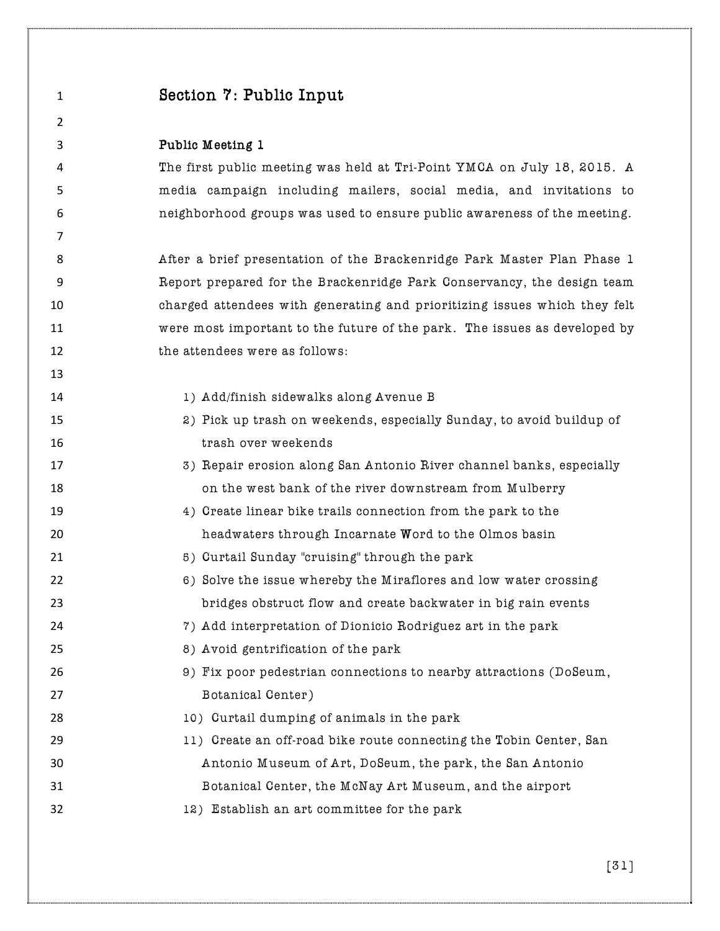| $\mathbf{1}$ | Section 7: Public Input                                                   |
|--------------|---------------------------------------------------------------------------|
| 2            |                                                                           |
| 3            | Public Meeting 1                                                          |
| 4            | The first public meeting was held at Tri-Point YMCA on July 18, 2015. A   |
| 5            | media campaign including mailers, social media, and invitations to        |
| 6            | neighborhood groups was used to ensure public awareness of the meeting.   |
| 7            |                                                                           |
| 8            | After a brief presentation of the Brackenridge Park Master Plan Phase 1   |
| 9            | Report prepared for the Brackenridge Park Conservancy, the design team    |
| 10           | charged attendees with generating and prioritizing issues which they felt |
| 11           | were most important to the future of the park. The issues as developed by |
| 12           | the attendees were as follows:                                            |
| 13           |                                                                           |
| 14           | 1) Add/finish sidewalks along Avenue B                                    |
| 15           | 2) Pick up trash on weekends, especially Sunday, to avoid buildup of      |
| 16           | trash over weekends                                                       |
| 17           | 3) Repair erosion along San Antonio River channel banks, especially       |
| 18           | on the west bank of the river downstream from Mulberry                    |
| 19           | 4) Create linear bike trails connection from the park to the              |
| 20           | headwaters through Incarnate Word to the Olmos basin                      |
| 21           | 5) Curtail Sunday "cruising" through the park                             |
| 22           | 6) Solve the issue whereby the Miraflores and low water crossing          |
| 23           | bridges obstruct flow and create backwater in big rain events             |
| 24           | 7) Add interpretation of Dionicio Rodriguez art in the park               |
| 25           | 8) Avoid gentrification of the park                                       |
| 26           | 9) Fix poor pedestrian connections to nearby attractions (DoSeum,         |
| 27           | Botanical Center)                                                         |
| 28           | 10) Curtail dumping of animals in the park                                |
| 29           | 11) Create an off-road bike route connecting the Tobin Center, San        |
| 30           | Antonio Museum of Art, DoSeum, the park, the San Antonio                  |
| 31           | Botanical Center, the McNay Art Museum, and the airport                   |
| 32           | 12) Establish an art committee for the park                               |
|              |                                                                           |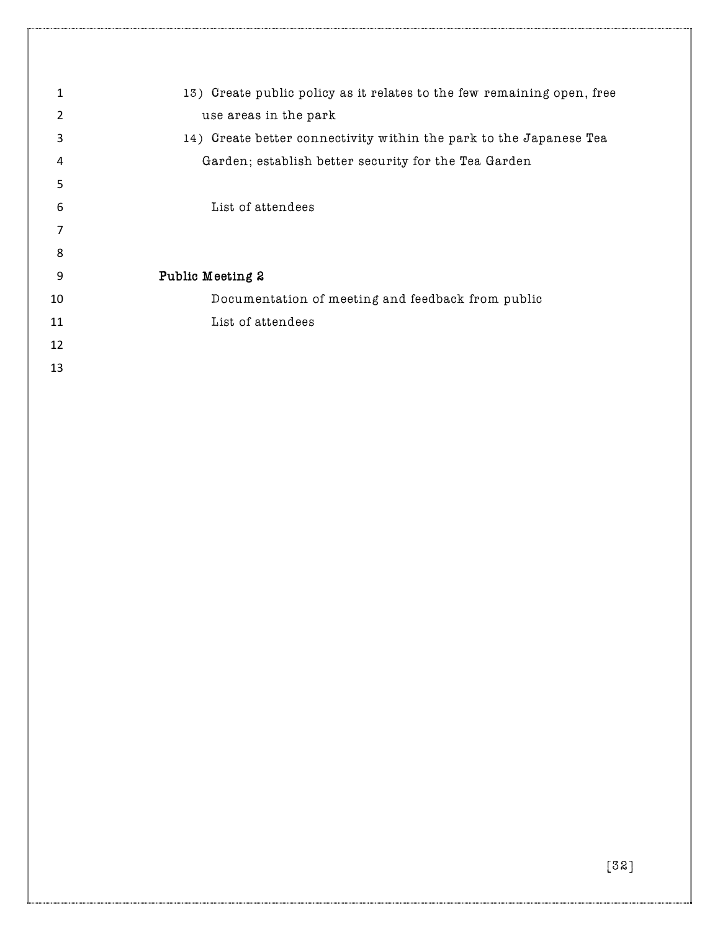| 1  | 13) Create public policy as it relates to the few remaining open, free |
|----|------------------------------------------------------------------------|
| 2  | use areas in the park                                                  |
| 3  | 14) Create better connectivity within the park to the Japanese Tea     |
| 4  | Garden; establish better security for the Tea Garden                   |
| 5  |                                                                        |
| 6  | List of attendees                                                      |
| 7  |                                                                        |
| 8  |                                                                        |
| 9  | Public Meeting 2                                                       |
| 10 | Documentation of meeting and feedback from public                      |
| 11 | List of attendees                                                      |
| 12 |                                                                        |
| 13 |                                                                        |
|    |                                                                        |